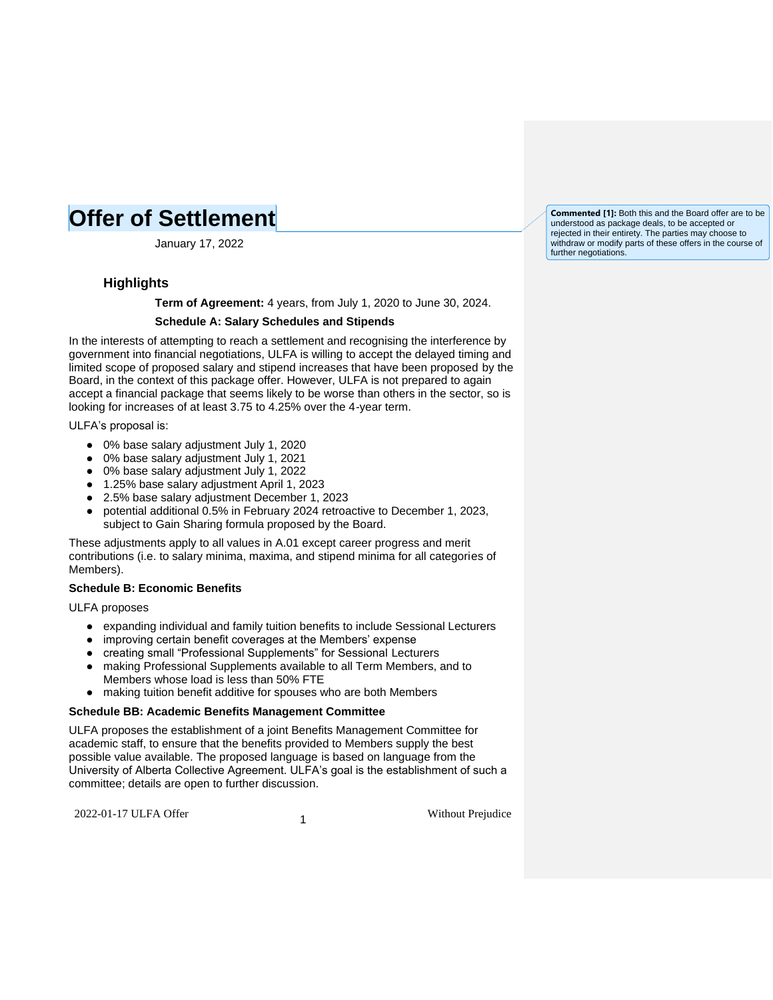# **Offer of Settlement**

January 17, 2022

## **Highlights**

**Term of Agreement:** 4 years, from July 1, 2020 to June 30, 2024.

### **Schedule A: Salary Schedules and Stipends**

In the interests of attempting to reach a settlement and recognising the interference by government into financial negotiations, ULFA is willing to accept the delayed timing and limited scope of proposed salary and stipend increases that have been proposed by the Board, in the context of this package offer. However, ULFA is not prepared to again accept a financial package that seems likely to be worse than others in the sector, so is looking for increases of at least 3.75 to 4.25% over the 4-year term.

ULFA's proposal is:

- 0% base salary adjustment July 1, 2020
- 0% base salary adjustment July 1, 2021
- 0% base salary adjustment July 1, 2022
- 1.25% base salary adjustment April 1, 2023
- 2.5% base salary adjustment December 1, 2023
- potential additional 0.5% in February 2024 retroactive to December 1, 2023, subject to Gain Sharing formula proposed by the Board.

These adjustments apply to all values in A.01 except career progress and merit contributions (i.e. to salary minima, maxima, and stipend minima for all categories of Members).

#### **Schedule B: Economic Benefits**

ULFA proposes

- expanding individual and family tuition benefits to include Sessional Lecturers
- improving certain benefit coverages at the Members' expense
- creating small "Professional Supplements" for Sessional Lecturers
- making Professional Supplements available to all Term Members, and to Members whose load is less than 50% FTE
- making tuition benefit additive for spouses who are both Members

#### **Schedule BB: Academic Benefits Management Committee**

ULFA proposes the establishment of a joint Benefits Management Committee for academic staff, to ensure that the benefits provided to Members supply the best possible value available. The proposed language is based on language from the University of Alberta Collective Agreement. ULFA's goal is the establishment of such a committee; details are open to further discussion.

2022-01-17 ULFA Offer <sup>1</sup>

Without Prejudice

**Commented [1]:** Both this and the Board offer are to be understood as package deals, to be accepted or rejected in their entirety. The parties may choose to withdraw or modify parts of these offers in the course of further negotiations.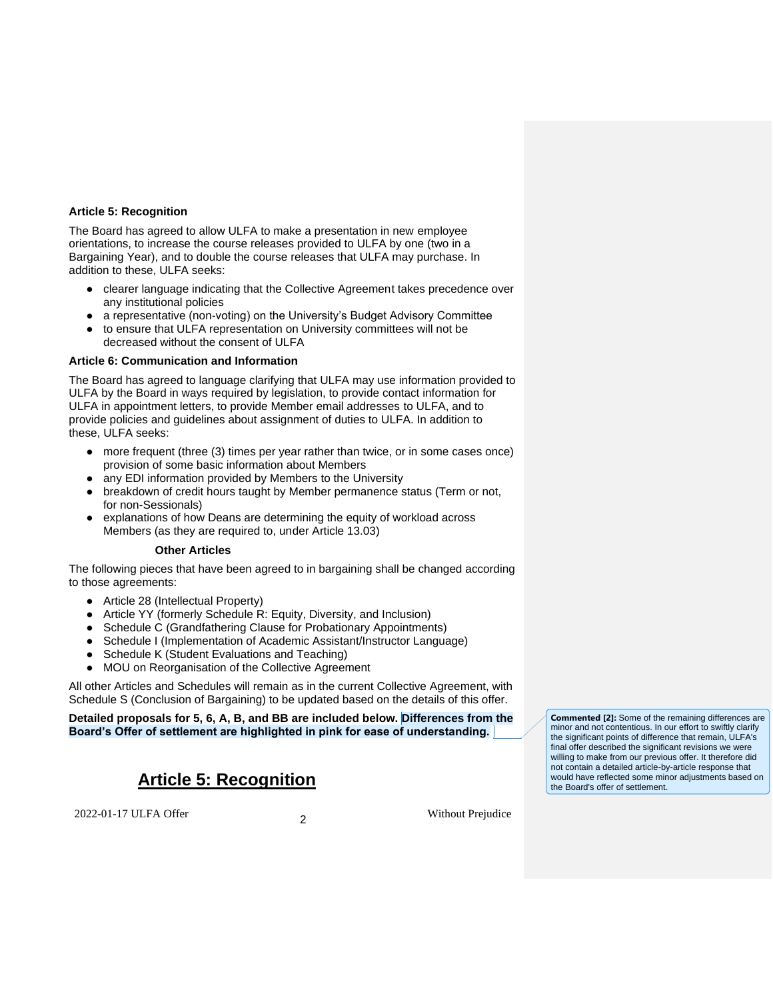## **Article 5: Recognition**

The Board has agreed to allow ULFA to make a presentation in new employee orientations, to increase the course releases provided to ULFA by one (two in a Bargaining Year), and to double the course releases that ULFA may purchase. In addition to these, ULFA seeks:

- clearer language indicating that the Collective Agreement takes precedence over any institutional policies
- a representative (non-voting) on the University's Budget Advisory Committee
- to ensure that ULFA representation on University committees will not be decreased without the consent of ULFA

## **Article 6: Communication and Information**

The Board has agreed to language clarifying that ULFA may use information provided to ULFA by the Board in ways required by legislation, to provide contact information for ULFA in appointment letters, to provide Member email addresses to ULFA, and to provide policies and guidelines about assignment of duties to ULFA. In addition to these, ULFA seeks:

- more frequent (three (3) times per year rather than twice, or in some cases once) provision of some basic information about Members
- any EDI information provided by Members to the University
- breakdown of credit hours taught by Member permanence status (Term or not, for non-Sessionals)
- explanations of how Deans are determining the equity of workload across Members (as they are required to, under Article 13.03)

#### **Other Articles**

The following pieces that have been agreed to in bargaining shall be changed according to those agreements:

- Article 28 (Intellectual Property)
- Article YY (formerly Schedule R: Equity, Diversity, and Inclusion)
- Schedule C (Grandfathering Clause for Probationary Appointments)
- Schedule I (Implementation of Academic Assistant/Instructor Language)
- Schedule K (Student Evaluations and Teaching)
- MOU on Reorganisation of the Collective Agreement

All other Articles and Schedules will remain as in the current Collective Agreement, with Schedule S (Conclusion of Bargaining) to be updated based on the details of this offer.

#### **Detailed proposals for 5, 6, A, B, and BB are included below. Differences from the Board's Offer of settlement are highlighted in pink for ease of understanding.**

# **Article 5: Recognition**

2022-01-17 ULFA Offer <sup>2</sup>

Without Prejudice

**Commented [2]:** Some of the remaining differences are minor and not contentious. In our effort to swiftly clarify the significant points of difference that remain, ULFA's final offer described the significant revisions we were willing to make from our previous offer. It therefore did not contain a detailed article-by-article response that would have reflected some minor adjustments based on the Board's offer of settlement.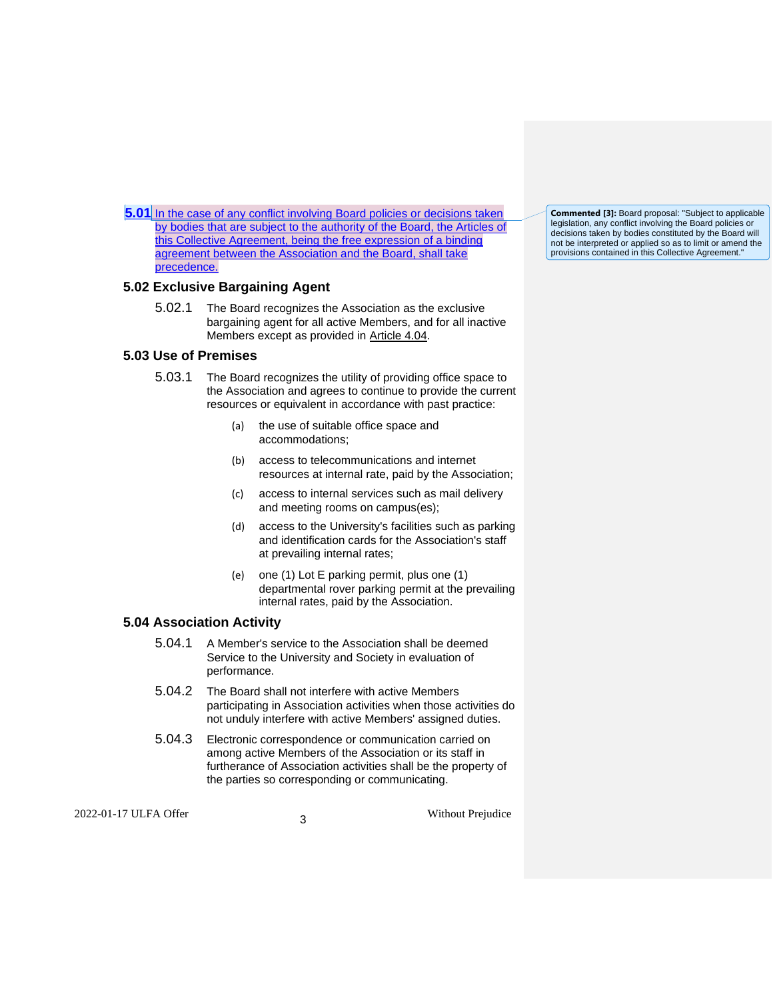**5.01** In the case of any conflict involving Board policies or decisions taken by bodies that are subject to the authority of the Board, the Articles of this Collective Agreement, being the free expression of a binding agreement between the Association and the Board, shall take precedence.

## **5.02 Exclusive Bargaining Agent**

5.02.1 The Board recognizes the Association as the exclusive bargaining agent for all active Members, and for all inactive Members except as provided in [Article](https://docs.google.com/document/d/1qgxuuyWx0tADVlYyQg0B0ucFa3zJNRxNxsqge3m9QzM/edit#bookmark=id.z337ya) 4.04.

## **5.03 Use of Premises**

- 5.03.1 The Board recognizes the utility of providing office space to the Association and agrees to continue to provide the current resources or equivalent in accordance with past practice:
	- (a) the use of suitable office space and accommodations;
	- (b) access to telecommunications and internet resources at internal rate, paid by the Association;
	- (c) access to internal services such as mail delivery and meeting rooms on campus(es);
	- (d) access to the University's facilities such as parking and identification cards for the Association's staff at prevailing internal rates;
	- (e) one (1) Lot E parking permit, plus one (1) departmental rover parking permit at the prevailing internal rates, paid by the Association.

## **5.04 Association Activity**

- 5.04.1 A Member's service to the Association shall be deemed Service to the University and Society in evaluation of performance.
- 5.04.2 The Board shall not interfere with active Members participating in Association activities when those activities do not unduly interfere with active Members' assigned duties.
- 5.04.3 Electronic correspondence or communication carried on among active Members of the Association or its staff in furtherance of Association activities shall be the property of the parties so corresponding or communicating.

2022-01-17 ULFA Offer <sup>3</sup>

Without Prejudice

**Commented [3]:** Board proposal: "Subject to applicable legislation, any conflict involving the Board policies or decisions taken by bodies constituted by the Board will not be interpreted or applied so as to limit or amend the provisions contained in this Collective Agreement."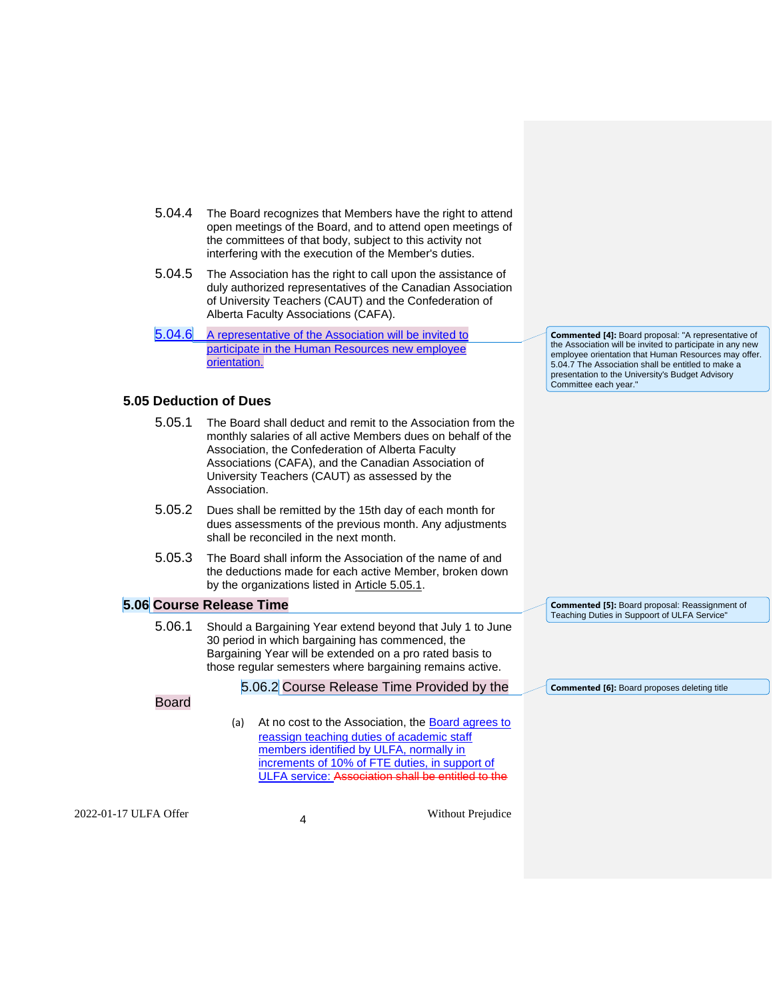- 5.04.4 The Board recognizes that Members have the right to attend open meetings of the Board, and to attend open meetings of the committees of that body, subject to this activity not interfering with the execution of the Member's duties.
- 5.04.5 The Association has the right to call upon the assistance of duly authorized representatives of the Canadian Association of University Teachers (CAUT) and the Confederation of Alberta Faculty Associations (CAFA).

5.04.6 A representative of the Association will be invited to participate in the Human Resources new employee orientation.

## <span id="page-3-0"></span>**5.05 Deduction of Dues**

| 5.05.1 | The Board shall deduct and remit to the Association from the<br>monthly salaries of all active Members dues on behalf of the<br>Association, the Confederation of Alberta Faculty<br>Associations (CAFA), and the Canadian Association of<br>University Teachers (CAUT) as assessed by the |
|--------|--------------------------------------------------------------------------------------------------------------------------------------------------------------------------------------------------------------------------------------------------------------------------------------------|
|        | Association.                                                                                                                                                                                                                                                                               |

- 5.05.2 Dues shall be remitted by the 15th day of each month for dues assessments of the previous month. Any adjustments shall be reconciled in the next month.
- 5.05.3 The Board shall inform the Association of the name of and the deductions made for each active Member, broken down by the organizations listed in Article [5.05.1.](#page-3-0)

## **5.06 Course Release Time**

5.06.1 Should a Bargaining Year extend beyond that July 1 to June 30 period in which bargaining has commenced, the Bargaining Year will be extended on a pro rated basis to those regular semesters where bargaining remains active.

<span id="page-3-1"></span>5.06.2 Course Release Time Provided by the

Board

(a) At no cost to the Association, the Board agrees to reassign teaching duties of academic staff members identified by ULFA, normally in increments of 10% of FTE duties, in support of ULFA service: Association shall be entitled to the

2022-01-17 ULFA Offer <sup>4</sup>

Without Prejudice

**Commented [4]:** Board proposal: "A representative of the Association will be invited to participate in any new employee orientation that Human Resources may offer. 5.04.7 The Association shall be entitled to make a presentation to the University's Budget Advisory Committee each year."

**Commented [5]:** Board proposal: Reassignment of Teaching Duties in Suppoort of ULFA Service"

**Commented [6]:** Board proposes deleting title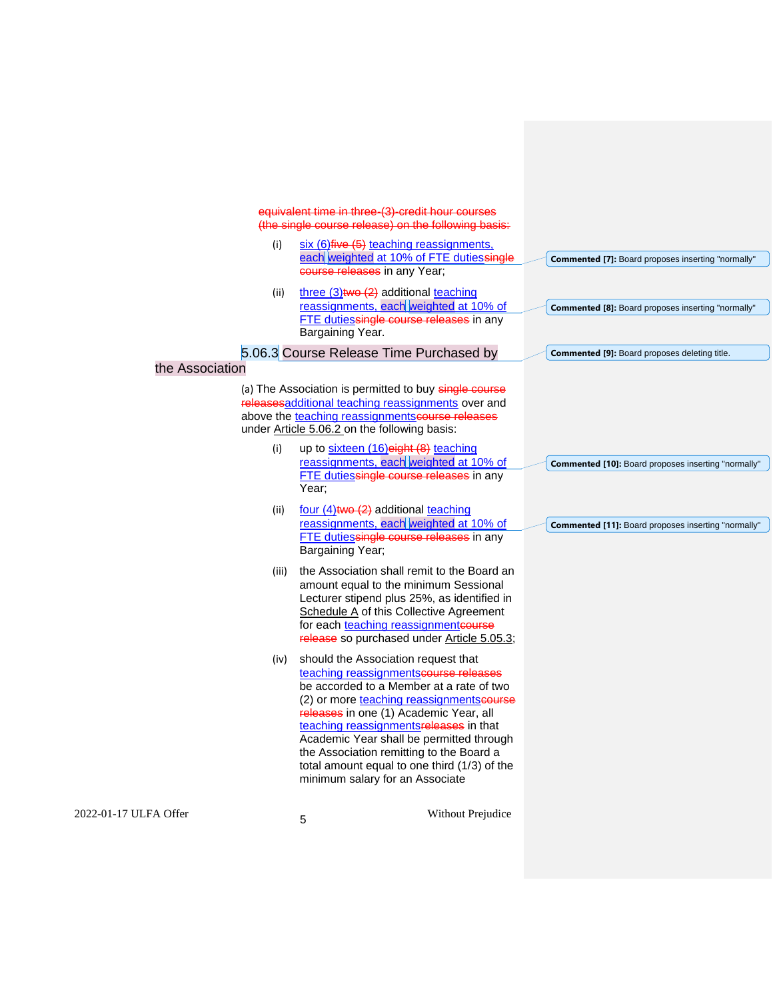equivalent time in three-(3)-credit hour courses (the single course release) on the following basis:

- (i)  $six (6)$  five  $(5)$  teaching reassignments, each weighted at 10% of FTE dutiessingle course releases in any Year;
- (ii) three  $(3)$ two  $(2)$  additional teaching reassignments, each weighted at 10% of FTE dutiessingle course releases in any Bargaining Year.

5.06.3 Course Release Time Purchased by **Commented [9]:** Board proposes deleting title.

**Commented [7]:** Board proposes inserting "normally"

**Commented [8]:** Board proposes inserting "normally"

**Commented [10]:** Board proposes inserting "normally"

**Commented [11]:** Board proposes inserting "normally"

# <span id="page-4-0"></span>the Association

[\(a\)](https://caedmon5.github.io/ULFA-private/FHB2018.html#f-d1e517) The Association is permitted to buy single course releasesadditional teaching reassignments over and above the teaching reassignmentscourse releases under [Article](#page-3-1) 5.06.2 on the following basis:

- (i) up to sixteen  $(16)$  eight  $(8)$  teaching reassignments, each weighted at 10% of FTE dutiessingle course releases in any Year;
- (ii) four  $(4)$ two  $(2)$  additional teaching reassignments, each weighted at 10% of FTE dutiessingle course releases in any Bargaining Year;
- (iii) the Association shall remit to the Board an amount equal to the minimum Sessional Lecturer stipend plus 25%, as identified in [Schedule](https://docs.google.com/document/d/1bJYgZXpS4flarYuu_4-EXofBRRKGnA_dLnidI992WPY/edit#heading=h.onm9m1) A of this Collective Agreement for each teaching reassignmentcourse release so purchased under Article [5.05.3;](#page-4-0)
- (iv) should the Association request that teaching reassignmentscourse releases be accorded to a Member at a rate of two (2) or more teaching reassignmentscourse releases in one (1) Academic Year, all teaching reassignmentsreleases in that Academic Year shall be permitted through the Association remitting to the Board a total amount equal to one third (1/3) of the minimum salary for an Associate

2022-01-17 ULFA Offer <sup>5</sup>

Without Prejudice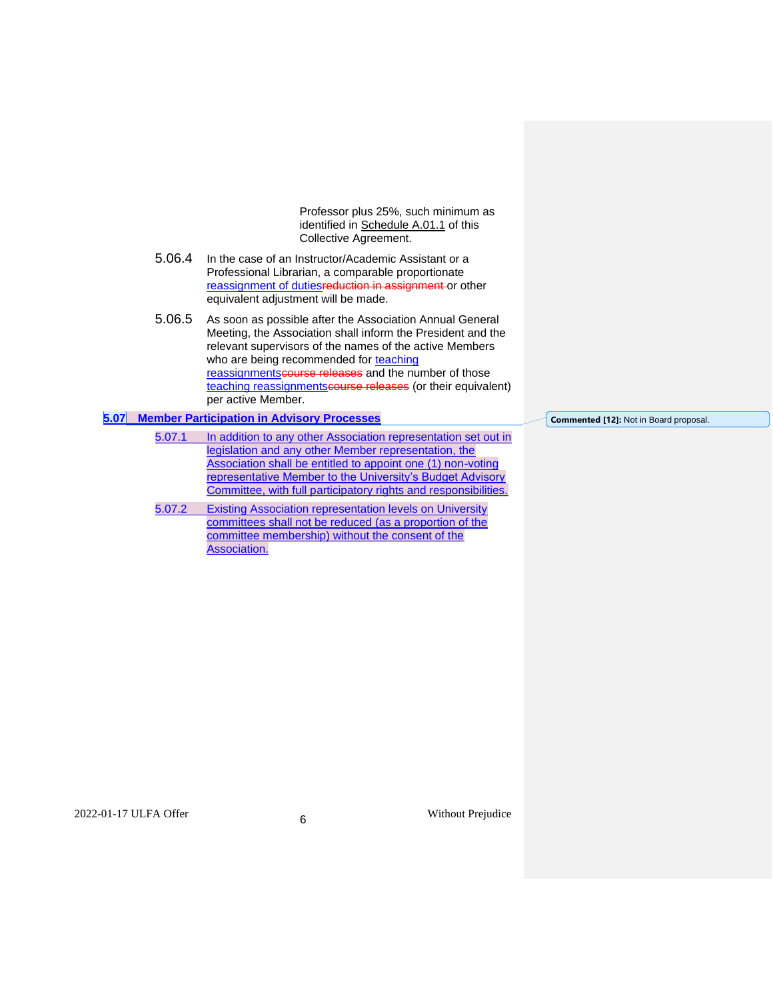Professor plus 25%, such minimum as identified in [Schedule](https://docs.google.com/document/d/1bJYgZXpS4flarYuu_4-EXofBRRKGnA_dLnidI992WPY/edit#bookmark=id.47s7l5g) A.01.1 of this Collective Agreement.

- 5.06.4 In the case of an Instructor/Academic Assistant or a Professional Librarian, a comparable proportionate reassignment of dutiesreduction in assignment or other equivalent adjustment will be made.
- 5.06.5 As soon as possible after the Association Annual General Meeting, the Association shall inform the President and the relevant supervisors of the names of the active Members who are being recommended for teaching reassignmentscourse releases and the number of those teaching reassignmentscourse releases (or their equivalent) per active Member.

## **5.07 Member Participation in Advisory Processes**

- 5.07.1 In addition to any other Association representation set out in legislation and any other Member representation, the Association shall be entitled to appoint one (1) non-voting representative Member to the University's Budget Advisory Committee, with full participatory rights and responsibilities.
- <span id="page-5-0"></span>5.07.2 Existing Association representation levels on University committees shall not be reduced (as a proportion of the committee membership) without the consent of the Association.

**Commented [12]:** Not in Board proposal.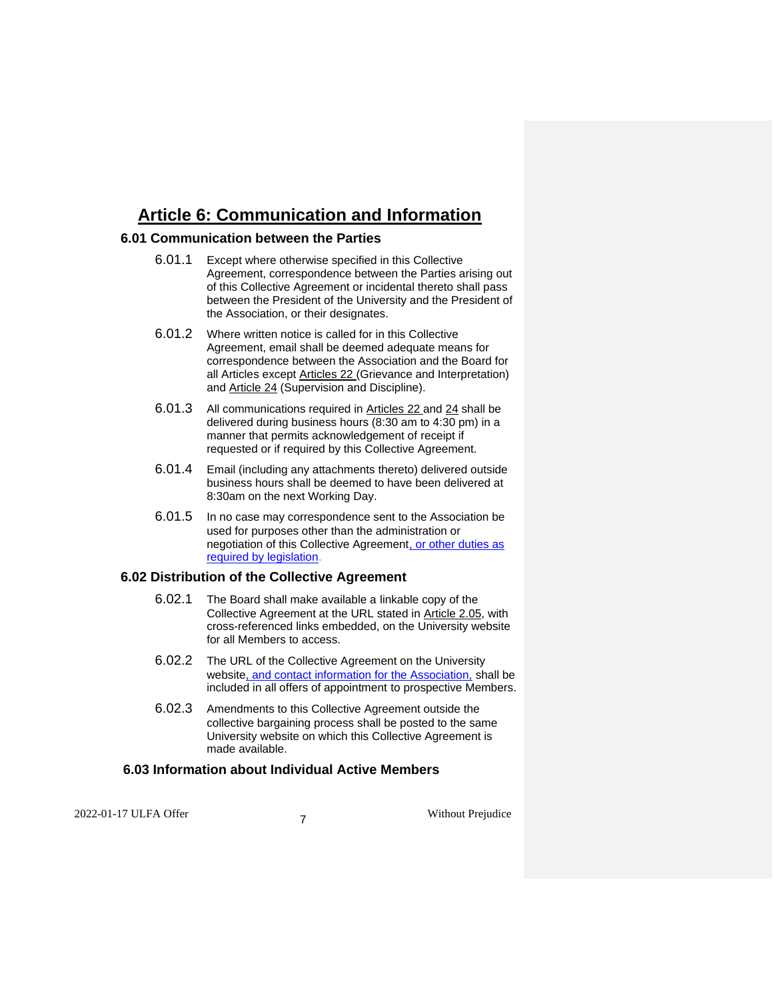# **Article 6: Communication and Information**

## **6.01 Communication between the Parties**

- 6.01.1 Except where otherwise specified in this Collective Agreement, correspondence between the Parties arising out of this Collective Agreement or incidental thereto shall pass between the President of the University and the President of the Association, or their designates.
- 6.01.2 Where written notice is called for in this Collective Agreement, email shall be deemed adequate means for correspondence between the Association and the Board for all Articles except [Articles](https://docs.google.com/document/d/1jxk3b4npaPiZjSIgVrvm1S-9Oif0nmHyzz3n9Z_Rl5g/edit#heading=h.4gjguf0) 22 (Grievance and Interpretation) and **Article 24** (Supervision and Discipline).
- 6.01.3 All communications required in [Articles](https://docs.google.com/document/d/1jxk3b4npaPiZjSIgVrvm1S-9Oif0nmHyzz3n9Z_Rl5g/edit#heading=h.4gjguf0) 22 and [24](https://docs.google.com/document/d/1jxk3b4npaPiZjSIgVrvm1S-9Oif0nmHyzz3n9Z_Rl5g/edit#heading=h.35xuupr) shall be delivered during business hours (8:30 am to 4:30 pm) in a manner that permits acknowledgement of receipt if requested or if required by this Collective Agreement.
- 6.01.4 Email (including any attachments thereto) delivered outside business hours shall be deemed to have been delivered at 8:30am on the next Working Day.
- 6.01.5 In no case may correspondence sent to the Association be used for purposes other than the administration or negotiation of this Collective Agreement, or other duties as required by legislation.

## **6.02 Distribution of the Collective Agreement**

- 6.02.1 The Board shall make available a linkable copy of the Collective Agreement at the URL stated in [Article](https://docs.google.com/document/d/1jxk3b4npaPiZjSIgVrvm1S-9Oif0nmHyzz3n9Z_Rl5g/edit#bookmark=id.1t3h5sf) 2.05, with cross-referenced links embedded, on the University website for all Members to access.
- 6.02.2 The URL of the Collective Agreement on the University website, and contact information for the Association, shall be included in all offers of appointment to prospective Members.
- 6.02.3 Amendments to this Collective Agreement outside the collective bargaining process shall be posted to the same University website on which this Collective Agreement is made available.

## **6.03 Information about Individual Active Members**

2022-01-17 ULFA Offer <sup>7</sup>

Without Prejudice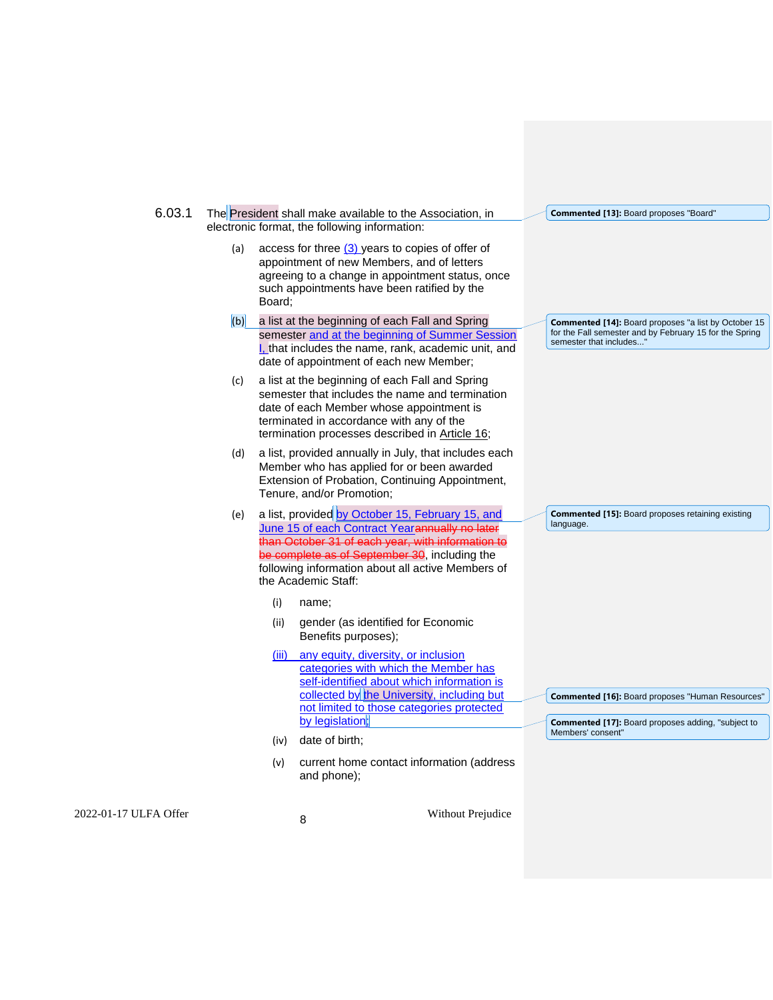| (a)                   | access for three $(3)$ years to copies of offer of<br>appointment of new Members, and of letters<br>agreeing to a change in appointment status, once<br>such appointments have been ratified by the<br>Board;                                                                        |                                                                                                                                                   |
|-----------------------|--------------------------------------------------------------------------------------------------------------------------------------------------------------------------------------------------------------------------------------------------------------------------------------|---------------------------------------------------------------------------------------------------------------------------------------------------|
| (b)                   | a list at the beginning of each Fall and Spring<br>semester and at the beginning of Summer Session<br>I, that includes the name, rank, academic unit, and<br>date of appointment of each new Member;                                                                                 | <b>Commented [14]: Board proposes "a list by October 15</b><br>for the Fall semester and by February 15 for the Spring<br>semester that includes' |
| (c)                   | a list at the beginning of each Fall and Spring<br>semester that includes the name and termination<br>date of each Member whose appointment is<br>terminated in accordance with any of the<br>termination processes described in Article 16;                                         |                                                                                                                                                   |
| (d)                   | a list, provided annually in July, that includes each<br>Member who has applied for or been awarded<br>Extension of Probation, Continuing Appointment,<br>Tenure, and/or Promotion;                                                                                                  |                                                                                                                                                   |
| (e)                   | a list, provided by October 15, February 15, and<br>June 15 of each Contract Yearannually no later<br>than October 31 of each year, with information to<br>be complete as of September 30, including the<br>following information about all active Members of<br>the Academic Staff: | <b>Commented [15]:</b> Board proposes retaining existing<br>language.                                                                             |
|                       | (i)<br>name;                                                                                                                                                                                                                                                                         |                                                                                                                                                   |
|                       | gender (as identified for Economic<br>(ii)<br>Benefits purposes);                                                                                                                                                                                                                    |                                                                                                                                                   |
|                       | any equity, diversity, or inclusion<br>(iii)<br>categories with which the Member has<br>self-identified about which information is<br>collected by the University, including but<br>not limited to those categories protected<br>by legislation;                                     | <b>Commented [16]: Board proposes "Human Resources"</b><br><b>Commented [17]:</b> Board proposes adding, "subject to                              |
|                       | date of birth;<br>(iv)                                                                                                                                                                                                                                                               | Members' consent"                                                                                                                                 |
|                       | current home contact information (address<br>(v)<br>and phone);                                                                                                                                                                                                                      |                                                                                                                                                   |
| 2022-01-17 ULFA Offer | Without Prejudice<br>8                                                                                                                                                                                                                                                               |                                                                                                                                                   |

**Commented [13]:** Board proposes "Board"

6.03.1 The President shall make available to the Association, in electronic format, the following information: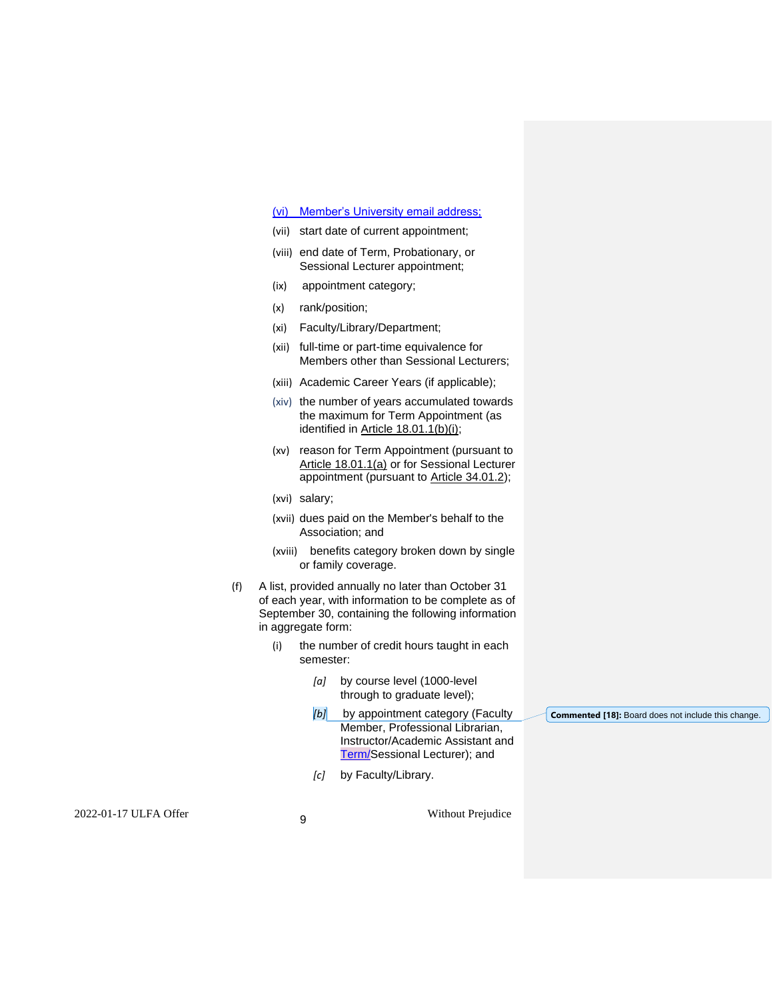#### (vi) Member's University email address;

- (vii) start date of current appointment;
- (viii) end date of Term, Probationary, or Sessional Lecturer appointment;
- (ix) appointment category;
- (x) rank/position;
- (xi) Faculty/Library/Department;
- (xii) full-time or part-time equivalence for Members other than Sessional Lecturers;
- (xiii) Academic Career Years (if applicable);
- (xiv) the number of years accumulated towards the maximum for Term Appointment (as identified in Article [18.01.1\(b\)\(i\);](https://docs.google.com/document/d/1jxk3b4npaPiZjSIgVrvm1S-9Oif0nmHyzz3n9Z_Rl5g/edit#bookmark=id.356xmb2)
- (xv) reason for Term Appointment (pursuant to Article [18.01.1\(a\)](https://docs.google.com/document/d/1jxk3b4npaPiZjSIgVrvm1S-9Oif0nmHyzz3n9Z_Rl5g/edit#bookmark=id.l7a3n9) or for Sessional Lecturer appointment (pursuant to Article [34.01.2\)](https://docs.google.com/document/d/1jxk3b4npaPiZjSIgVrvm1S-9Oif0nmHyzz3n9Z_Rl5g/edit#bookmark=id.42nnq3z);
- (xvi) salary;
- (xvii) dues paid on the Member's behalf to the Association; and
- (xviii) benefits category broken down by single or family coverage.
- (f) A list, provided annually no later than October 31 of each year, with information to be complete as of September 30, containing the following information in aggregate form:
	- (i) the number of credit hours taught in each semester:
		- *[a]* by course level (1000-level through to graduate level);
		- [b] by appointment category (Faculty Member, Professional Librarian, Instructor/Academic Assistant and Term/Sessional Lecturer); and
		- *[c]* by Faculty/Library.

2022-01-17 ULFA Offer <sup>9</sup>

Without Prejudice

**Commented [18]:** Board does not include this change.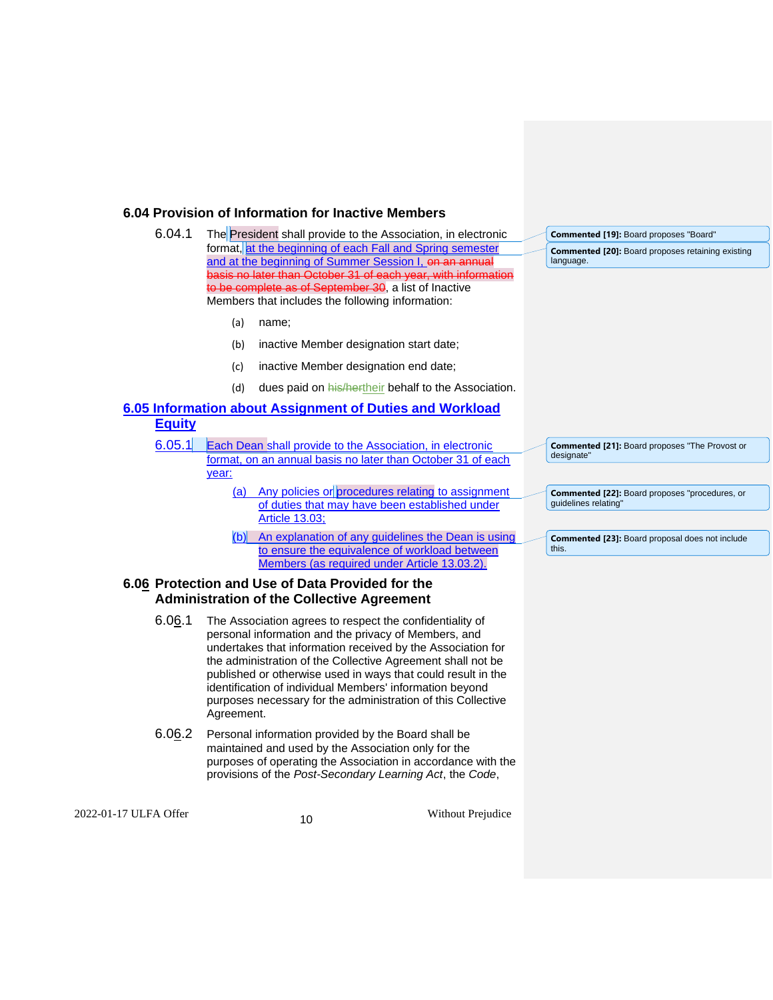## **6.04 Provision of Information for Inactive Members**

- 6.04.1 The President shall provide to the Association, in electronic format, at the beginning of each Fall and Spring semester and at the beginning of Summer Session I, on an annual basis no later than October 31 of each year, with information to be complete as of September 30, a list of Inactive Members that includes the following information:
	- (a) name;
	- (b) inactive Member designation start date;
	- (c) inactive Member designation end date;
	- (d) dues paid on his/hertheir behalf to the Association.

#### **6.05 Information about Assignment of Duties and Workload Equity**

| ⊏quity |       |                                                                                                                                                                                                              |                                                                        |
|--------|-------|--------------------------------------------------------------------------------------------------------------------------------------------------------------------------------------------------------------|------------------------------------------------------------------------|
| 6.05.1 |       | Each Dean shall provide to the Association, in electronic<br>format, on an annual basis no later than October 31 of each                                                                                     | Commented [21]: Board proposes "The Provost or<br>designate"           |
|        | year: |                                                                                                                                                                                                              |                                                                        |
|        | (a)   | Any policies or procedures relating to assignment<br>of duties that may have been established under                                                                                                          | Commented [22]: Board proposes "procedures, or<br>quidelines relating" |
|        |       | Article 13.03:                                                                                                                                                                                               |                                                                        |
|        | (b)   | An explanation of any guidelines the Dean is using<br>to ensure the equivalence of workload between                                                                                                          | <b>Commented [23]:</b> Board proposal does not include<br>this.        |
|        |       | Members (as required under Article 13.03.2).                                                                                                                                                                 |                                                                        |
|        |       | 6.06 Protection and Use of Data Provided for the<br><b>Administration of the Collective Agreement</b>                                                                                                        |                                                                        |
| 6.06.1 |       | The Association agrees to respect the confidentiality of<br>personal information and the privacy of Members, and<br>and depute home these followses with a compact and has the collect with a first starting |                                                                        |

**Commented [19]:** Board proposes "Board" **Commented [20]:** Board proposes retaining existing

language.

- undertakes that information received by the Association for the administration of the Collective Agreement shall not be published or otherwise used in ways that could result in the identification of individual Members' information beyond purposes necessary for the administration of this Collective Agreement.
- 6.06.2 Personal information provided by the Board shall be maintained and used by the Association only for the purposes of operating the Association in accordance with the provisions of the *Post-Secondary Learning Act*, the *Code*,

2022-01-17 ULFA Offer 10 10 Without Prejudice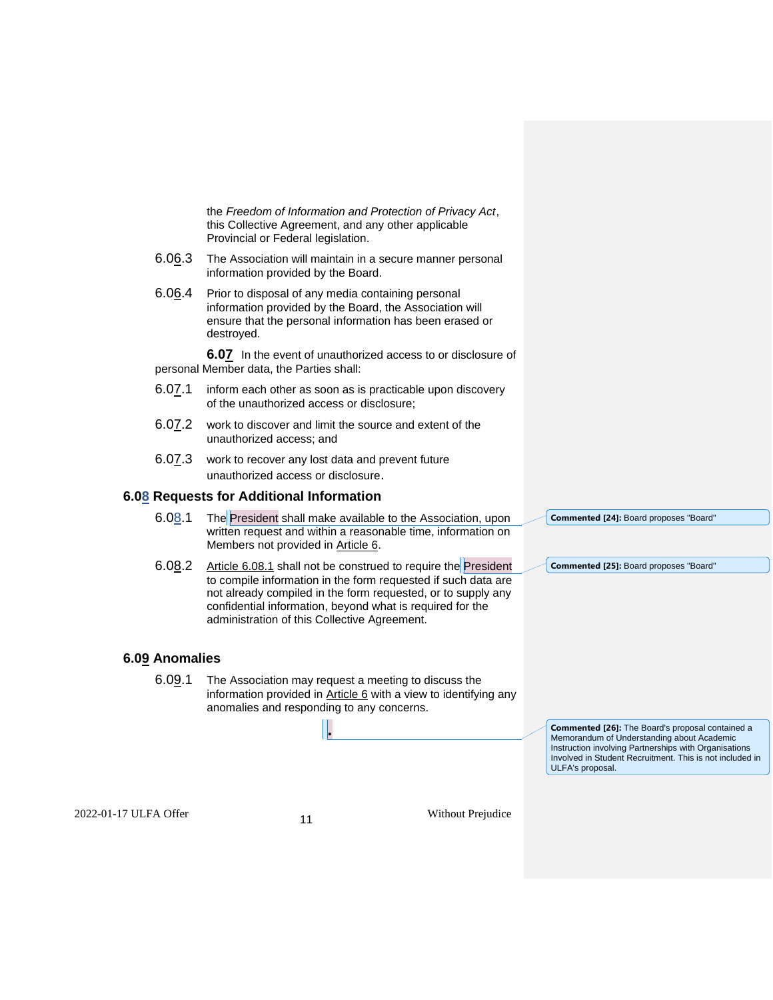the *Freedom of Information and Protection of Privacy Act*, this Collective Agreement, and any other applicable Provincial or Federal legislation.

- 6.06.3 The Association will maintain in a secure manner personal information provided by the Board.
- 6.06.4 Prior to disposal of any media containing personal information provided by the Board, the Association will ensure that the personal information has been erased or destroyed.

**6.07** In the event of unauthorized access to or disclosure of personal Member data, the Parties shall:

- 6.07.1 inform each other as soon as is practicable upon discovery of the unauthorized access or disclosure;
- 6.07.2 work to discover and limit the source and extent of the unauthorized access; and
- 6.07.3 work to recover any lost data and prevent future unauthorized access or disclosure.

## <span id="page-10-0"></span>**6.08 Requests for Additional Information**

- 6.08.1 The President shall make available to the Association, upon written request and within a reasonable time, information on Members not provided in [Article](#page-5-0) 6.
- 6.08.2 Article [6.08.1](#page-10-0) shall not be construed to require the President to compile information in the form requested if such data are not already compiled in the form requested, or to supply any confidential information, beyond what is required for the administration of this Collective Agreement.

## **6.09 Anomalies**

6.09.1 The Association may request a meeting to discuss the information provided in [Article](#page-5-0) 6 with a view to identifying any anomalies and responding to any concerns.

**.**

**Commented [24]:** Board proposes "Board"

**Commented [25]:** Board proposes "Board"

**Commented [26]:** The Board's proposal contained a Memorandum of Understanding about Academic Instruction involving Partnerships with Organisations Involved in Student Recruitment. This is not included in ULFA's proposal.

2022-01-17 ULFA Offer 11 1 Without Prejudice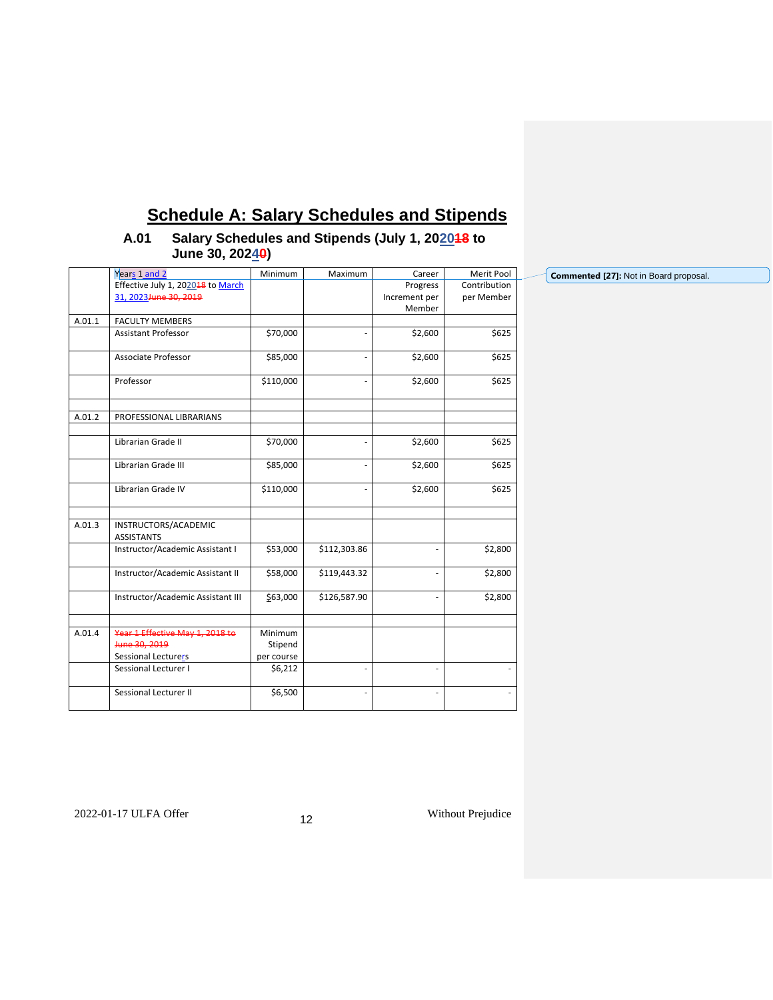# **Schedule A: Salary Schedules and Stipends**

## **A.01 Salary Schedules and Stipends (July 1, 202018 to June 30, 20240)**

|        | Years 1 and 2                     | Minimum    | Maximum      | Career        | Merit Pool   |
|--------|-----------------------------------|------------|--------------|---------------|--------------|
|        | Effective July 1, 202018 to March |            |              | Progress      | Contribution |
|        | 31, 2023 Hune 30, 2019            |            |              | Increment per | per Member   |
|        |                                   |            |              | Member        |              |
| A.01.1 | <b>FACULTY MEMBERS</b>            |            |              |               |              |
|        | <b>Assistant Professor</b>        | \$70,000   |              | \$2,600       | \$625        |
|        | Associate Professor               | \$85,000   |              | \$2,600       | \$625        |
|        | Professor                         | \$110,000  |              | \$2,600       | \$625        |
| A.01.2 | PROFESSIONAL LIBRARIANS           |            |              |               |              |
|        |                                   |            |              |               |              |
|        | Librarian Grade II                | \$70,000   |              | \$2,600       | \$625        |
|        | Librarian Grade III               | \$85,000   |              | \$2,600       | \$625        |
|        | Librarian Grade IV                | \$110,000  |              | \$2,600       | \$625        |
| A.01.3 | INSTRUCTORS/ACADEMIC              |            |              |               |              |
|        | <b>ASSISTANTS</b>                 |            |              |               |              |
|        | Instructor/Academic Assistant I   | \$53,000   | \$112,303.86 |               | \$2,800      |
|        | Instructor/Academic Assistant II  | \$58,000   | \$119,443.32 |               | \$2,800      |
|        | Instructor/Academic Assistant III | \$63,000   | \$126,587.90 |               | \$2,800      |
|        |                                   |            |              |               |              |
| A.01.4 | Year 1 Effective May 1, 2018 to   | Minimum    |              |               |              |
|        | June 30, 2019                     | Stipend    |              |               |              |
|        | <b>Sessional Lecturers</b>        | per course |              |               |              |
|        | Sessional Lecturer I              | \$6,212    |              |               |              |
|        | Sessional Lecturer II             | \$6,500    |              |               |              |
|        |                                   |            |              |               |              |

**Commented [27]:** Not in Board proposal.

2022-01-17 ULFA Offer 12 12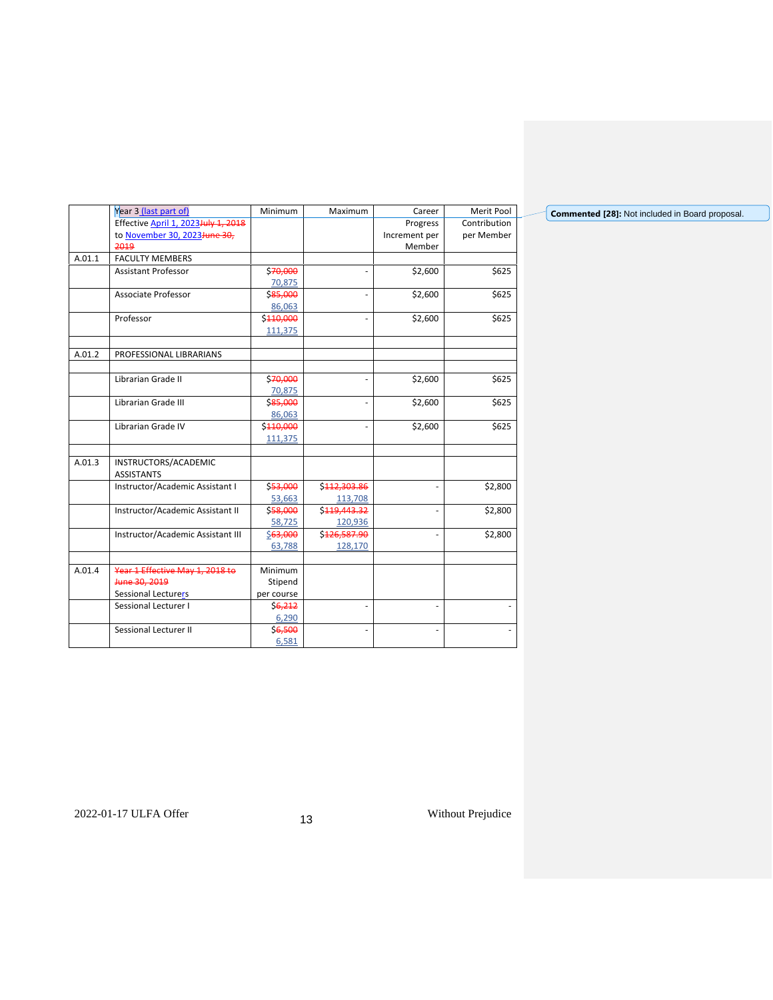|        | Year 3 (last part of)                | Minimum    | Maximum      | Career         | Merit Pool   |
|--------|--------------------------------------|------------|--------------|----------------|--------------|
|        | Effective April 1, 2023 July 1, 2018 |            |              | Progress       | Contribution |
|        | to November 30, 2023 June 30,        |            |              | Increment per  | per Member   |
|        | 2019                                 |            |              | Member         |              |
| A.01.1 | <b>FACULTY MEMBERS</b>               |            |              |                |              |
|        | <b>Assistant Professor</b>           | \$70,000   |              | \$2,600        | \$625        |
|        |                                      | 70,875     |              |                |              |
|        | Associate Professor                  | \$85,000   |              | \$2,600        | \$625        |
|        |                                      | 86,063     |              |                |              |
|        | Professor                            | \$440,000  |              | \$2,600        | \$625        |
|        |                                      | 111,375    |              |                |              |
| A.01.2 | PROFESSIONAL LIBRARIANS              |            |              |                |              |
|        | Librarian Grade II                   | \$70,000   |              | \$2,600        | \$625        |
|        |                                      | 70,875     |              |                |              |
|        | Librarian Grade III                  | \$85,000   |              | \$2,600        | \$625        |
|        |                                      | 86,063     |              |                |              |
|        | Librarian Grade IV                   | \$440,000  |              | \$2,600        | \$625        |
|        |                                      | 111,375    |              |                |              |
| A.01.3 | INSTRUCTORS/ACADEMIC                 |            |              |                |              |
|        | <b>ASSISTANTS</b>                    |            |              |                |              |
|        | Instructor/Academic Assistant I      | \$53,000   | \$442,303.86 |                | \$2,800      |
|        |                                      | 53,663     | 113,708      |                |              |
|        | Instructor/Academic Assistant II     | \$58,000   | \$449,443.32 |                | \$2,800      |
|        |                                      | 58,725     | 120,936      |                |              |
|        | Instructor/Academic Assistant III    | \$63,000   | \$426,587.90 |                | \$2,800      |
|        |                                      | 63,788     | 128,170      |                |              |
| A.01.4 | Year 1 Effective May 1, 2018 to      | Minimum    |              |                |              |
|        | June 30, 2019                        | Stipend    |              |                |              |
|        | Sessional Lecturers                  | per course |              |                |              |
|        | Sessional Lecturer I                 | 56,212     | ÷.           | $\blacksquare$ |              |
|        |                                      | 6,290      |              |                |              |
|        | Sessional Lecturer II                | \$6,500    | ä,           | ÷,             | ä,           |
|        |                                      | 6,581      |              |                |              |

**Commented [28]:** Not included in Board proposal.

2022-01-17 ULFA Offer 13 13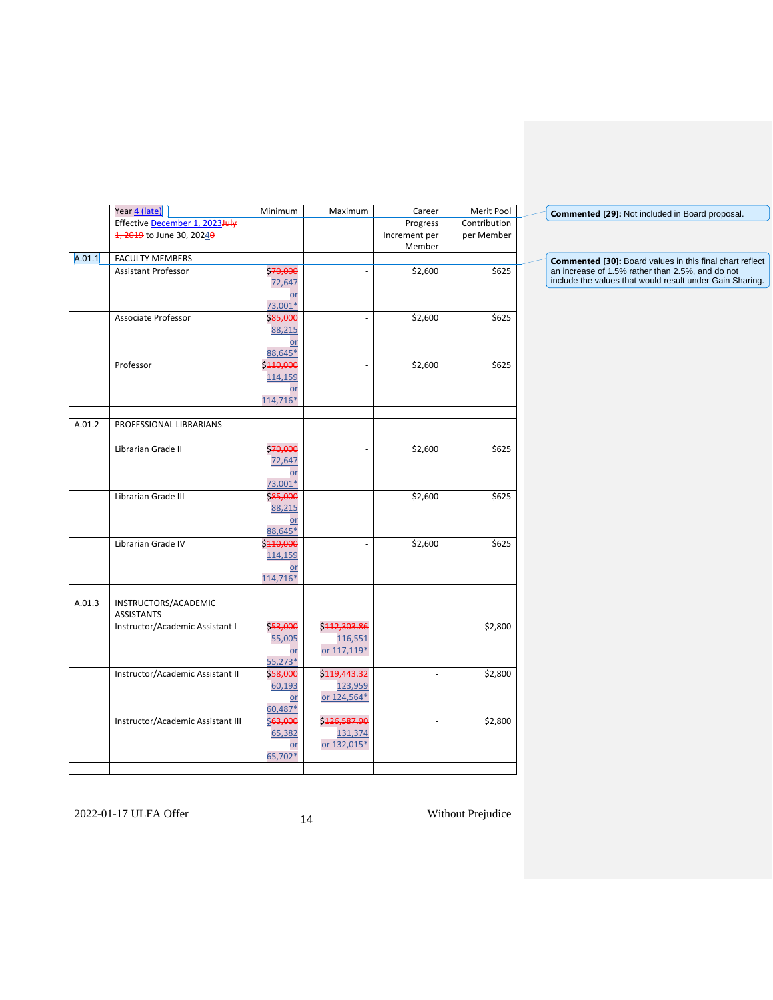|        | Year 4 (late)                     | Minimum                        | Maximum                 | Career                  | Merit Pool   |
|--------|-----------------------------------|--------------------------------|-------------------------|-------------------------|--------------|
|        | Effective December 1, 2023 Huly   |                                |                         | Progress                | Contribution |
|        | 1, 2019 to June 30, 20240         |                                |                         | Increment per<br>Member | per Member   |
| A.01.1 | <b>FACULTY MEMBERS</b>            |                                |                         |                         |              |
|        | <b>Assistant Professor</b>        | \$70,000                       |                         | \$2,600                 | \$625        |
|        |                                   | 72,647                         |                         |                         |              |
|        |                                   | or                             |                         |                         |              |
|        |                                   | 73,001*                        |                         |                         |              |
|        | Associate Professor               | \$85,000                       |                         | \$2,600                 | \$625        |
|        |                                   | 88,215                         |                         |                         |              |
|        |                                   | <u>or</u><br>88,645*           |                         |                         |              |
|        | Professor                         | \$440,000                      |                         | \$2,600                 | \$625        |
|        |                                   | 114,159                        |                         |                         |              |
|        |                                   | <u>or</u>                      |                         |                         |              |
|        |                                   | 114,716*                       |                         |                         |              |
|        |                                   |                                |                         |                         |              |
| A.01.2 | PROFESSIONAL LIBRARIANS           |                                |                         |                         |              |
|        |                                   |                                |                         |                         |              |
|        | Librarian Grade II                | \$70,000                       |                         | \$2,600                 | \$625        |
|        |                                   | 72,647                         |                         |                         |              |
|        |                                   | or                             |                         |                         |              |
|        |                                   | 73,001*                        |                         |                         |              |
|        | Librarian Grade III               | \$ <del>85,000</del><br>88,215 |                         | \$2,600                 | \$625        |
|        |                                   | or                             |                         |                         |              |
|        |                                   | 88,645*                        |                         |                         |              |
|        | Librarian Grade IV                | \$410,000                      | ä,                      | \$2,600                 | \$625        |
|        |                                   | 114,159                        |                         |                         |              |
|        |                                   | or                             |                         |                         |              |
|        |                                   | 114,716*                       |                         |                         |              |
|        |                                   |                                |                         |                         |              |
| A.01.3 | INSTRUCTORS/ACADEMIC              |                                |                         |                         |              |
|        | <b>ASSISTANTS</b>                 |                                |                         |                         |              |
|        | Instructor/Academic Assistant I   | \$53,000<br>55,005             | \$442.303.86<br>116,551 |                         | \$2,800      |
|        |                                   | <u>or</u>                      | or 117,119*             |                         |              |
|        |                                   | $55,273*$                      |                         |                         |              |
|        | Instructor/Academic Assistant II  | \$58,000                       | \$119,443.32            |                         | \$2,800      |
|        |                                   | 60,193                         | 123,959                 |                         |              |
|        |                                   | or                             | or 124,564*             |                         |              |
|        |                                   | 60,487*                        |                         |                         |              |
|        | Instructor/Academic Assistant III | \$63,000                       | \$426,587.90            | L,                      | \$2,800      |
|        |                                   | 65,382                         | 131,374                 |                         |              |
|        |                                   | or                             | or 132,015*             |                         |              |
|        |                                   | 65,702*                        |                         |                         |              |
|        |                                   |                                |                         |                         |              |

**Commented [29]:** Not included in Board proposal.

**Commented [30]:** Board values in this final chart reflect an increase of 1.5% rather than 2.5%, and do not include the values that would result under Gain Sharing.

2022-01-17 ULFA Offer 14 14 Without Prejudice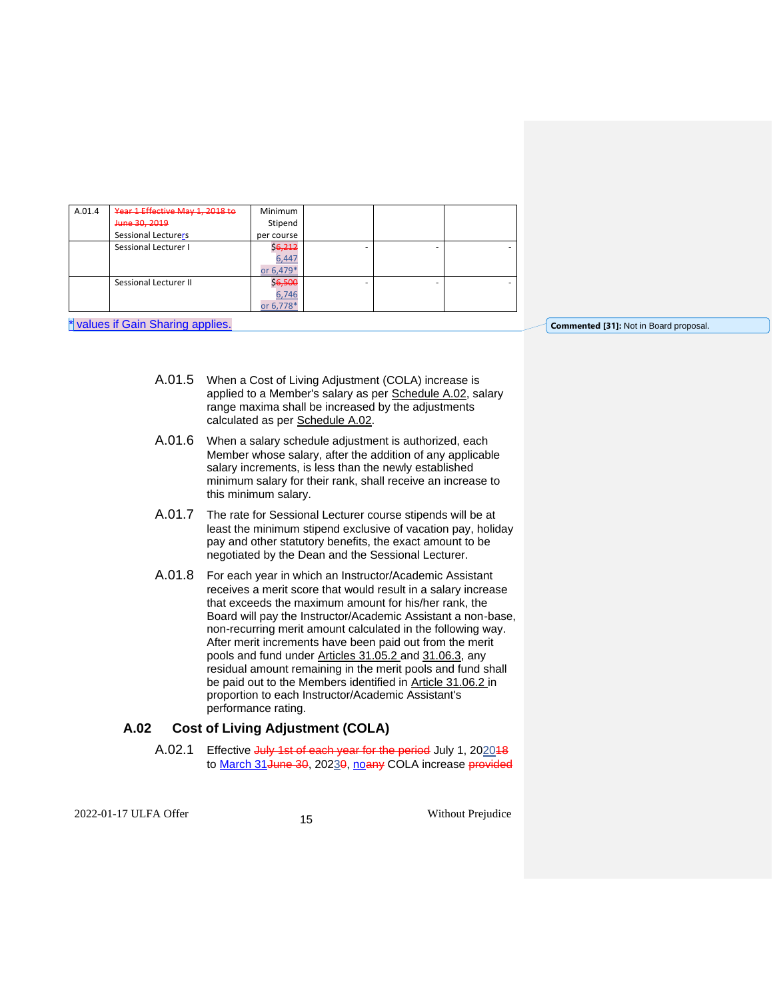| A.01.4 | Year 1 Effective May 1, 2018 to | Minimum    |  |  |
|--------|---------------------------------|------------|--|--|
|        | June 30, 2019                   | Stipend    |  |  |
|        | Sessional Lecturers             | per course |  |  |
|        | Sessional Lecturer I            | \$6,212    |  |  |
|        |                                 | 6,447      |  |  |
|        |                                 | or 6,479*  |  |  |
|        | Sessional Lecturer II           | \$6,500    |  |  |
|        |                                 | 6,746      |  |  |
|        |                                 | or 6.778*  |  |  |

 $*$  values if Gain Sharing applies.

**Commented [31]:** Not in Board proposal.

- A.01.5 When a Cost of Living Adjustment (COLA) increase is applied to a Member's salary as per [Schedule](#page-14-0) A.02, salary range maxima shall be increased by the adjustments calculated as per [Schedule](#page-14-0) A.02.
- A.01.6 When a salary schedule adjustment is authorized, each Member whose salary, after the addition of any applicable salary increments, is less than the newly established minimum salary for their rank, shall receive an increase to this minimum salary.
- A.01.7 The rate for Sessional Lecturer course stipends will be at least the minimum stipend exclusive of vacation pay, holiday pay and other statutory benefits, the exact amount to be negotiated by the Dean and the Sessional Lecturer.
- <span id="page-14-1"></span>A.01.8 For each year in which an Instructor/Academic Assistant receives a merit score that would result in a salary increase that exceeds the maximum amount for his/her rank, the Board will pay the Instructor/Academic Assistant a non-base, non-recurring merit amount calculated in the following way. After merit increments have been paid out from the merit pools and fund under Articles 31.05.2 and 31.06.3, any residual amount remaining in the merit pools and fund shall be paid out to the Members identified in Article 31.06.2 in proportion to each Instructor/Academic Assistant's performance rating.

## <span id="page-14-0"></span>**A.02 Cost of Living Adjustment (COLA)**

A.02.1 Effective July 1st of each year for the period July 1, 202048 to March 31 June 30, 20230, noany COLA increase provided

2022-01-17 ULFA Offer 15 15 Without Prejudice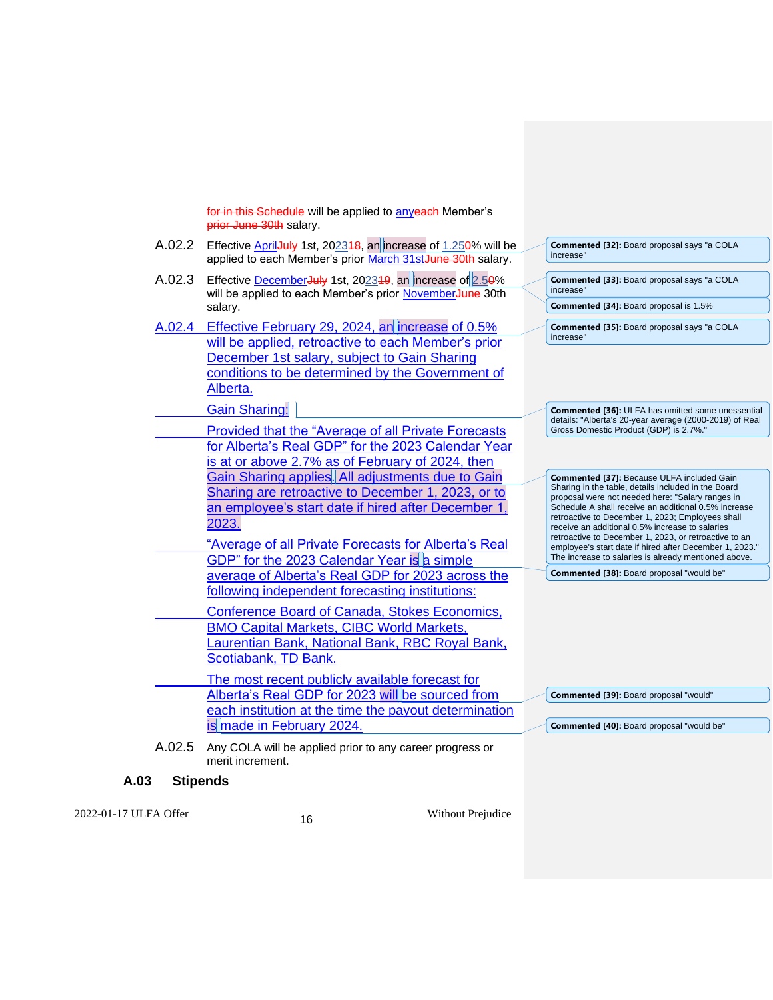for in this Schedule will be applied to any each Member's prior June 30th salary.

- A.02.2 Effective April<del>July</del> 1st, 202348, an increase of 1.250% will be applied to each Member's prior March 31st June 30th salary.
- A.02.3 Effective December July 1st, 202349, an increase of 2.50% will be applied to each Member's prior November June 30th salary.
- A.02.4 Effective February 29, 2024, an increase of 0.5% will be applied, retroactive to each Member's prior December 1st salary, subject to Gain Sharing conditions to be determined by the Government of Alberta.

Gain Sharing: Provided that the "Average of all Private Forecasts for Alberta's Real GDP" for the 2023 Calendar Year is at or above 2.7% as of February of 2024, then

Gain Sharing applies. All adjustments due to Gain Sharing are retroactive to December 1, 2023, or to an employee's start date if hired after December 1, 2023.

- "Average of all Private Forecasts for Alberta's Real GDP" for the 2023 Calendar Year is a simple average of Alberta's Real GDP for 2023 across the following independent forecasting institutions:
- Conference Board of Canada, Stokes Economics, BMO Capital Markets, CIBC World Markets, Laurentian Bank, National Bank, RBC Royal Bank, Scotiabank, TD Bank.
- The most recent publicly available forecast for Alberta's Real GDP for 2023 will be sourced from each institution at the time the payout determination is made in February 2024.

**Commented [32]:** Board proposal says "a COLA increase"

**Commented [33]:** Board proposal says "a COLA increase"

**Commented [34]:** Board proposal is 1.5%

**Commented [35]:** Board proposal says "a COLA increase"

**Commented [36]:** ULFA has omitted some unessential details: "Alberta's 20-year average (2000-2019) of Real Gross Domestic Product (GDP) is 2.7%."

**Commented [37]:** Because ULFA included Gain Sharing in the table, details included in the Board proposal were not needed here: "Salary ranges in Schedule A shall receive an additional 0.5% increase retroactive to December 1, 2023; Employees shall receive an additional 0.5% increase to salaries retroactive to December 1, 2023, or retroactive to an employee's start date if hired after December 1, 2023." The increase to salaries is already mentioned above.

**Commented [38]:** Board proposal "would be"

**Commented [39]:** Board proposal "would"

**Commented [40]:** Board proposal "would be"

A.02.5 Any COLA will be applied prior to any career progress or merit increment.

## **A.03 Stipends**

2022-01-17 ULFA Offer 16 16 16 Without Prejudice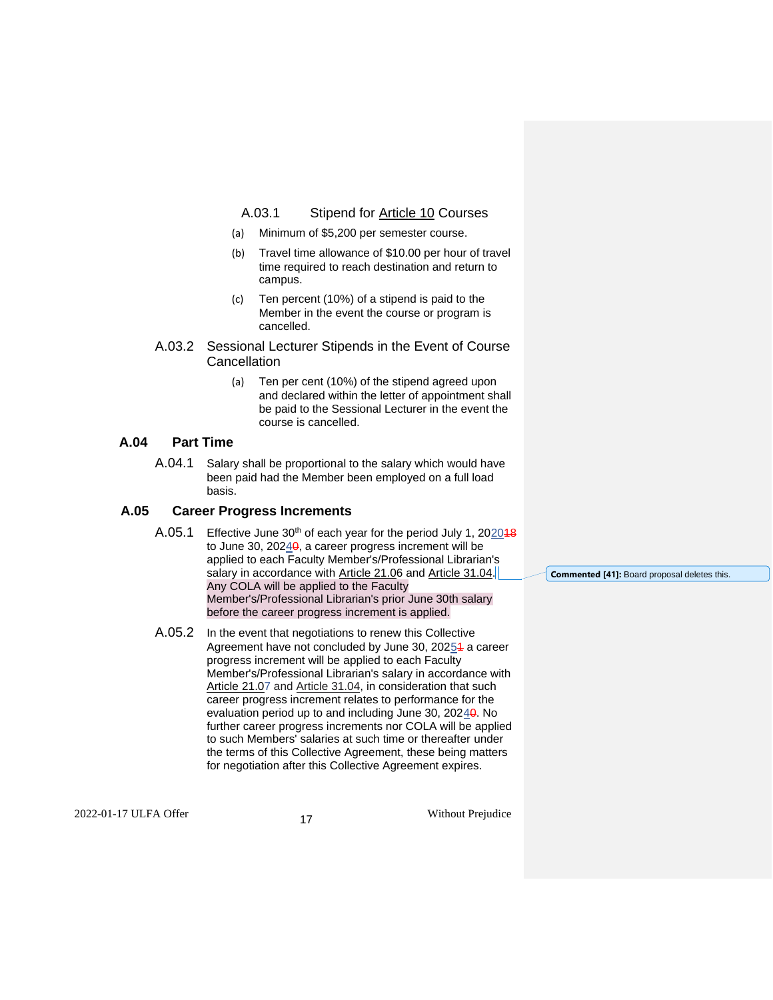## A.03.1 Stipend for Article 10 Courses

- (a) Minimum of \$5,200 per semester course.
- (b) Travel time allowance of \$10.00 per hour of travel time required to reach destination and return to campus.
- (c) Ten percent (10%) of a stipend is paid to the Member in the event the course or program is cancelled.

## A.03.2 Sessional Lecturer Stipends in the Event of Course **Cancellation**

(a) Ten per cent (10%) of the stipend agreed upon and declared within the letter of appointment shall be paid to the Sessional Lecturer in the event the course is cancelled.

## **A.04 Part Time**

A.04.1 Salary shall be proportional to the salary which would have been paid had the Member been employed on a full load basis.

## **A.05 Career Progress Increments**

- A.05.1 Effective June  $30<sup>th</sup>$  of each year for the period July 1, 202048 to June 30, 2024<sup>0</sup>, a career progress increment will be applied to each Faculty Member's/Professional Librarian's salary in accordance with Article 21.06 and Article 31.04. Any COLA will be applied to the Faculty Member's/Professional Librarian's prior June 30th salary before the career progress increment is applied.
- <span id="page-16-0"></span>A.05.2 In the event that negotiations to renew this Collective Agreement have not concluded by June 30, 20254 a career progress increment will be applied to each Faculty Member's/Professional Librarian's salary in accordance with Article 21.07 and Article 31.04, in consideration that such career progress increment relates to performance for the evaluation period up to and including June 30, 20240. No further career progress increments nor COLA will be applied to such Members' salaries at such time or thereafter under the terms of this Collective Agreement, these being matters for negotiation after this Collective Agreement expires.

**Commented [41]:** Board proposal deletes this.

2022-01-17 ULFA Offer 17 17 Without Prejudice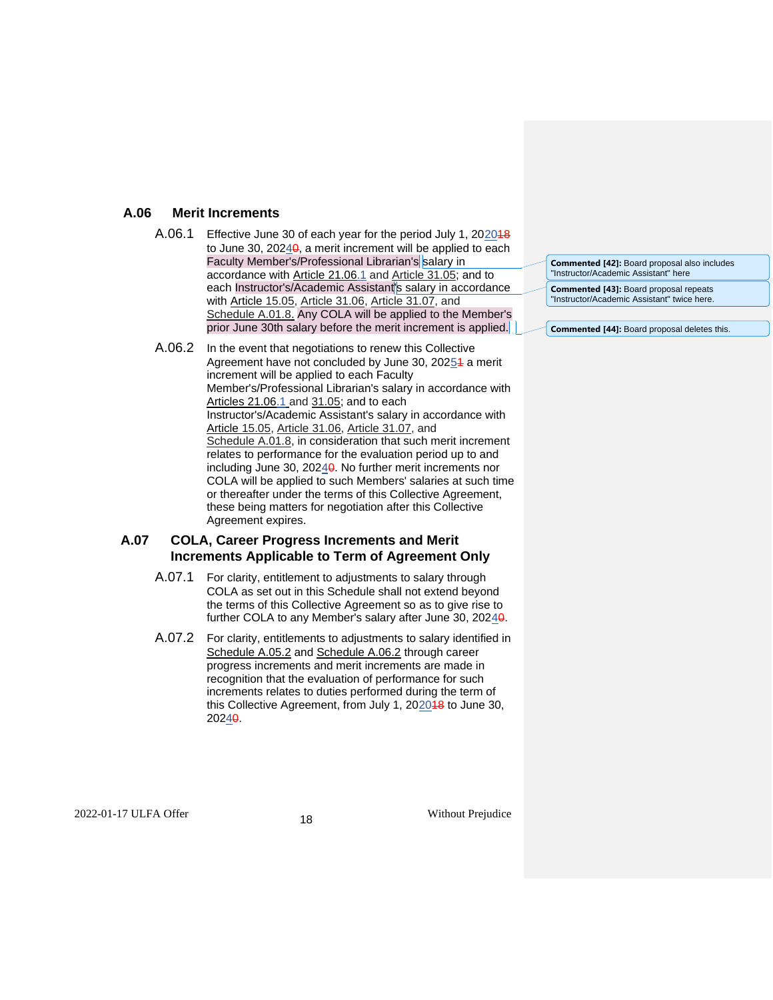## **A.06 Merit Increments**

- A.06.1 Effective June 30 of each year for the period July 1, 202048 to June 30, 2024<sub>0</sub>, a merit increment will be applied to each Faculty Member's/Professional Librarian's salary in accordance with Article 21.06.1 and Article 31.05; and to each Instructor's/Academic Assistant's salary in accordance with Article 15.05, Article 31.06, Article 31.07, and [Schedule](#page-14-1) A.01.[8.](#page-14-1) Any COLA will be applied to the Member's prior June 30th salary before the merit increment is applied.
- <span id="page-17-0"></span>A.06.2 In the event that negotiations to renew this Collective Agreement have not concluded by June 30, 20254 a merit increment will be applied to each Faculty Member's/Professional Librarian's salary in accordance with Articles 21.06.1 and 31.05; and to each Instructor's/Academic Assistant's salary in accordance with Article 15.05, Article 31.06, Article 31.07, and [Schedule](#page-14-1) A.01.8, in consideration that such merit increment relates to performance for the evaluation period up to and including June 30, 20240. No further merit increments nor COLA will be applied to such Members' salaries at such time or thereafter under the terms of this Collective Agreement, these being matters for negotiation after this Collective Agreement expires.

## **A.07 COLA, Career Progress Increments and Merit Increments Applicable to Term of Agreement Only**

- A.07.1 For clarity, entitlement to adjustments to salary through COLA as set out in this Schedule shall not extend beyond the terms of this Collective Agreement so as to give rise to further COLA to any Member's salary after June 30, 20240.
- <span id="page-17-1"></span>A.07.2 For clarity, entitlements to adjustments to salary identified in [Schedule](#page-16-0) A.05.2 and [Schedule](#page-17-0) A.06.2 through career progress increments and merit increments are made in recognition that the evaluation of performance for such increments relates to duties performed during the term of this Collective Agreement, from July 1, 202048 to June 30, 20240.

**Commented [42]:** Board proposal also includes "Instructor/Academic Assistant" here

**Commented [43]:** Board proposal repeats "Instructor/Academic Assistant" twice here.

**Commented [44]:** Board proposal deletes this.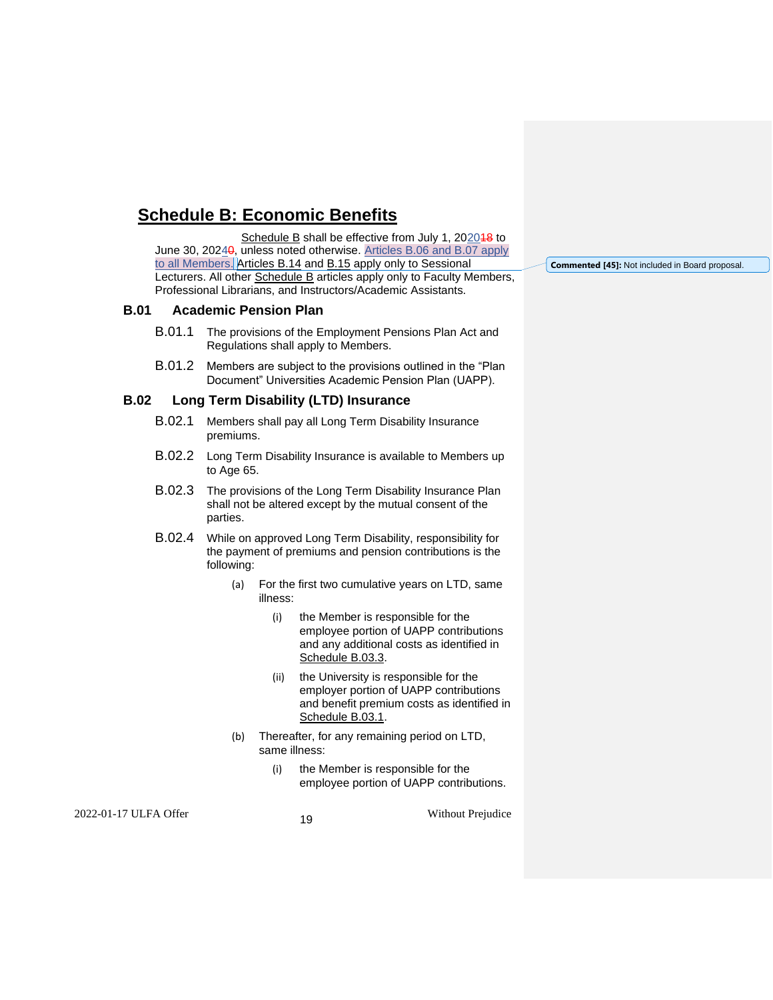# **Schedule B: Economic Benefits**

[Schedule](#page-17-1) B shall be effective from July 1, 202048 to June 30, 20240, unless noted otherwise. Articles B.06 and B.07 apply to all Members. [Articles B.14](#page-25-0) and [B.15](#page-25-1) apply only to Sessional Lecturers. All other [Schedule](#page-17-1) B articles apply only to Faculty Members, Professional Librarians, and Instructors/Academic Assistants.

## **B.01 Academic Pension Plan**

- B.01.1 The provisions of the Employment Pensions Plan Act and Regulations shall apply to Members.
- B.01.2 Members are subject to the provisions outlined in the "Plan Document" Universities Academic Pension Plan (UAPP).

## **B.02 Long Term Disability (LTD) Insurance**

- B.02.1 Members shall pay all Long Term Disability Insurance premiums.
- B.02.2 Long Term Disability Insurance is available to Members up to Age 65.
- B.02.3 The provisions of the Long Term Disability Insurance Plan shall not be altered except by the mutual consent of the parties.
- B.02.4 While on approved Long Term Disability, responsibility for the payment of premiums and pension contributions is the following:
	- (a) For the first two cumulative years on LTD, same illness:
		- (i) the Member is responsible for the employee portion of UAPP contributions and any additional costs as identified in [Schedule](#page-19-0) B.03.3.
		- (ii) the University is responsible for the employer portion of UAPP contributions and benefit premium costs as identified in [Schedule](#page-19-1) B.03.1.
	- (b) Thereafter, for any remaining period on LTD, same illness:
		- (i) the Member is responsible for the employee portion of UAPP contributions.

2022-01-17 ULFA Offer 19 19

**Commented [45]:** Not included in Board proposal.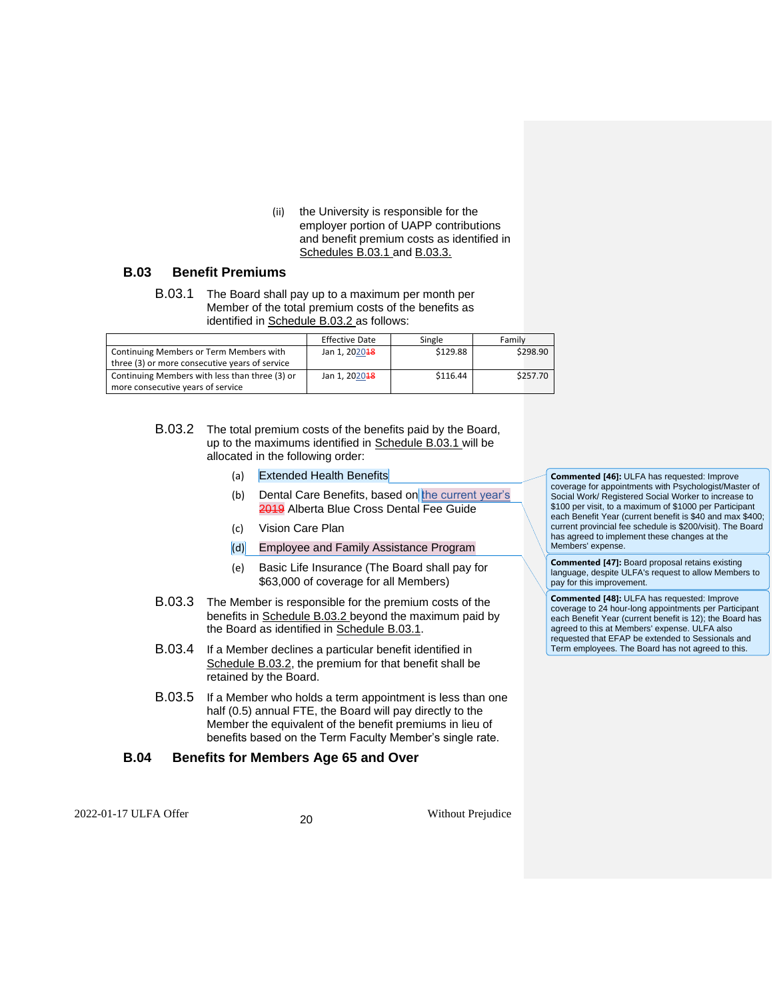(ii) the University is responsible for the employer portion of UAPP contributions and benefit premium costs as identified in [Schedules](#page-19-1) B.03.1 and [B.03.3.](#page-19-0)

## <span id="page-19-1"></span>**B.03 Benefit Premiums**

B.03.1 The Board shall pay up to a maximum per month per Member of the total premium costs of the benefits as identified in [Schedule](#page-19-2) B.03.2 as follows:

|                                                | <b>Effective Date</b>     | Single   | Family   |
|------------------------------------------------|---------------------------|----------|----------|
| Continuing Members or Term Members with        | Jan 1. 2020 <del>18</del> | \$129.88 | \$298.90 |
| three (3) or more consecutive years of service |                           |          |          |
| Continuing Members with less than three (3) or | Jan 1, 2020 <del>18</del> | \$116.44 | \$257.70 |
| more consecutive years of service              |                           |          |          |

- <span id="page-19-2"></span>B.03.2 The total premium costs of the benefits paid by the Board, up to the maximums identified in [Schedule](#page-19-1) B.03.1 will be allocated in the following order:
	- (a) Extended Health Benefits
	- (b) Dental Care Benefits, based on the current year's 2019 Alberta Blue Cross Dental Fee Guide
	- (c) Vision Care Plan
	- (d) Employee and Family Assistance Program
	- (e) Basic Life Insurance (The Board shall pay for \$63,000 of coverage for all Members)
- <span id="page-19-0"></span>B.03.3 The Member is responsible for the premium costs of the benefits in [Schedule](#page-19-2) B.03.2 beyond the maximum paid by the Board as identified in [Schedule](#page-19-1) B.03.1.
- B.03.4 If a Member declines a particular benefit identified in [Schedule](#page-19-2) B.03.2, the premium for that benefit shall be retained by the Board.
- B.03.5 If a Member who holds a term appointment is less than one half (0.5) annual FTE, the Board will pay directly to the Member the equivalent of the benefit premiums in lieu of benefits based on the Term Faculty Member's single rate.

## **B.04 Benefits for Members Age 65 and Over**

2022-01-17 ULFA Offer 20 20

**Commented [46]:** ULFA has requested: Improve coverage for appointments with Psychologist/Master of Social Work/ Registered Social Worker to increase to \$100 per visit, to a maximum of \$1000 per Participant each Benefit Year (current benefit is \$40 and max \$400; current provincial fee schedule is \$200/visit). The Board has agreed to implement these changes at the Members' expense.

**Commented [47]:** Board proposal retains existing language, despite ULFA's request to allow Members to pay for this improvement.

**Commented [48]:** ULFA has requested: Improve coverage to 24 hour-long appointments per Participant each Benefit Year (current benefit is 12); the Board has agreed to this at Members' expense. ULFA also requested that EFAP be extended to Sessionals and Term employees. The Board has not agreed to this.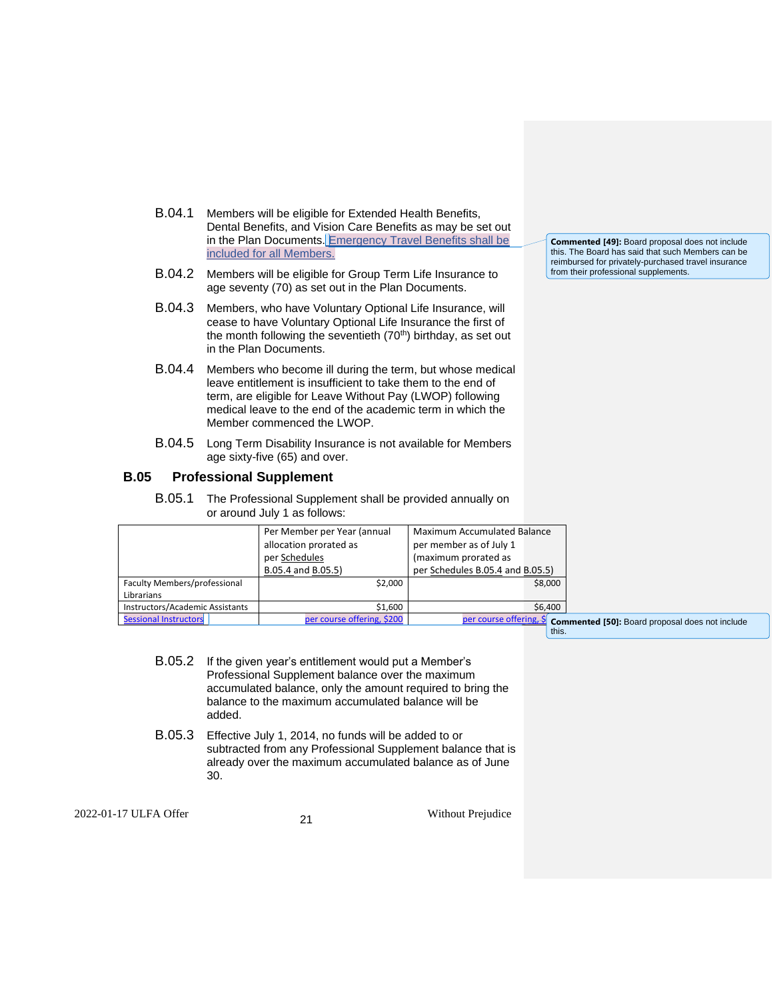- B.04.1 Members will be eligible for Extended Health Benefits, Dental Benefits, and Vision Care Benefits as may be set out in the Plan Documents. Emergency Travel Benefits shall be included for all Members.
- B.04.2 Members will be eligible for Group Term Life Insurance to age seventy (70) as set out in the Plan Documents.
- B.04.3 Members, who have Voluntary Optional Life Insurance, will cease to have Voluntary Optional Life Insurance the first of the month following the seventieth  $(70<sup>th</sup>)$  birthday, as set out in the Plan Documents.
- B.04.4 Members who become ill during the term, but whose medical leave entitlement is insufficient to take them to the end of term, are eligible for Leave Without Pay (LWOP) following medical leave to the end of the academic term in which the Member commenced the LWOP.
- B.04.5 Long Term Disability Insurance is not available for Members age sixty-five (65) and over.

## <span id="page-20-0"></span>**B.05 Professional Supplement**

B.05.1 The Professional Supplement shall be provided annually on or around July 1 as follows:

|                                 | Per Member per Year (annual | <b>Maximum Accumulated Balance</b> |
|---------------------------------|-----------------------------|------------------------------------|
| allocation prorated as          |                             | per member as of July 1            |
|                                 | per Schedules               | (maximum prorated as               |
|                                 | B.05.4 and B.05.5)          | per Schedules B.05.4 and B.05.5)   |
| Faculty Members/professional    | \$2,000                     | \$8,000                            |
| Librarians                      |                             |                                    |
| Instructors/Academic Assistants | \$1,600                     | \$6,400                            |
| <b>Sessional Instructors</b>    | per course offering, \$200  | per course offering. S Commented   |

**Commented [50]:** Board proposal does not include

this.

- B.05.2 If the given year's entitlement would put a Member's Professional Supplement balance over the maximum accumulated balance, only the amount required to bring the balance to the maximum accumulated balance will be added.
- B.05.3 Effective July 1, 2014, no funds will be added to or subtracted from any Professional Supplement balance that is already over the maximum accumulated balance as of June 30.

2022-01-17 ULFA Offer 21 21 Without Prejudice

**Commented [49]:** Board proposal does not include this. The Board has said that such Members can be reimbursed for privately-purchased travel insurance from their professional supplements.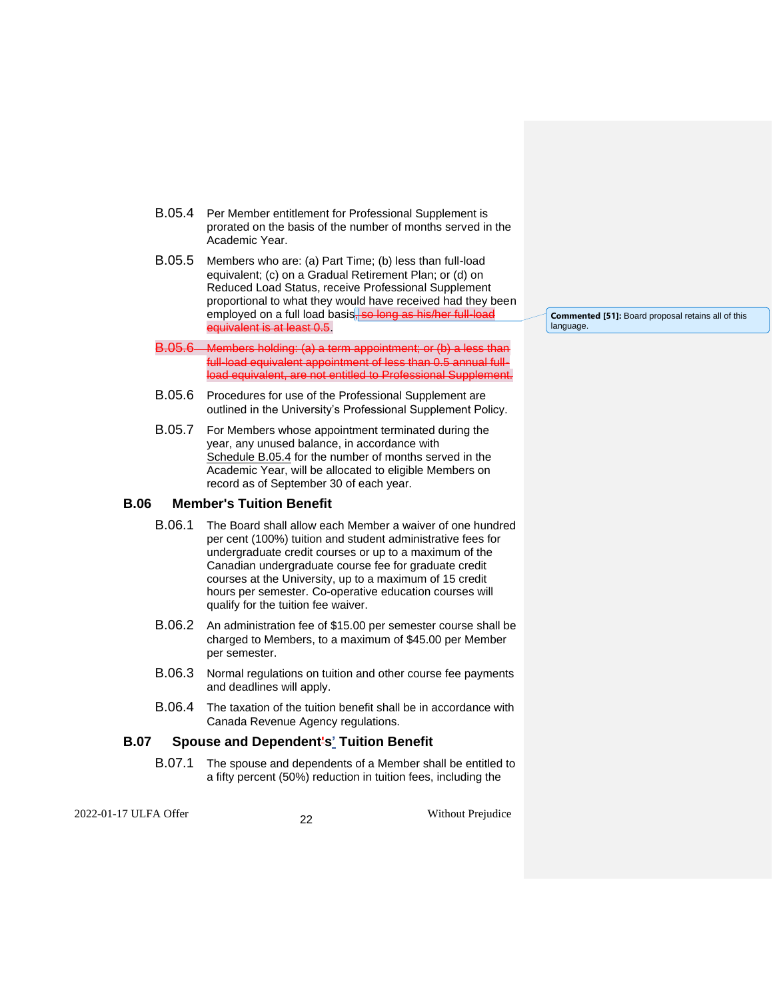- <span id="page-21-0"></span>B.05.4 Per Member entitlement for Professional Supplement is prorated on the basis of the number of months served in the Academic Year.
- <span id="page-21-1"></span>B.05.5 Members who are: (a) Part Time; (b) less than full-load equivalent; (c) on a Gradual Retirement Plan; or (d) on Reduced Load Status, receive Professional Supplement proportional to what they would have received had they been employed on a full load basis, so long as his/her full-load equivalent is at least 0.5.
- B.05.6 Members holding: (a) a term appointment; or (b) a le full-load equivalent appointment of less than 0.5 annual fullload equivalent, are not entitled to Professional Suppler
- B.05.6 Procedures for use of the Professional Supplement are outlined in the University's Professional Supplement Policy.
- B.05.7 For Members whose appointment terminated during the year, any unused balance, in accordance with [Schedule](#page-21-0) B.05.4 for the number of months served in the Academic Year, will be allocated to eligible Members on record as of September 30 of each year.

## **B.06 Member's Tuition Benefit**

- B.06.1 The Board shall allow each Member a waiver of one hundred per cent (100%) tuition and student administrative fees for undergraduate credit courses or up to a maximum of the Canadian undergraduate course fee for graduate credit courses at the University, up to a maximum of 15 credit hours per semester. Co-operative education courses will qualify for the tuition fee waiver.
- B.06.2 An administration fee of \$15.00 per semester course shall be charged to Members, to a maximum of \$45.00 per Member per semester.
- B.06.3 Normal regulations on tuition and other course fee payments and deadlines will apply.
- B.06.4 The taxation of the tuition benefit shall be in accordance with Canada Revenue Agency regulations.

## **B.07 Spouse and Dependent's' Tuition Benefit**

B.07.1 The spouse and dependents of a Member shall be entitled to a fifty percent (50%) reduction in tuition fees, including the

2022-01-17 ULFA Offer <sup>22</sup> Without Prejudice

**Commented [51]:** Board proposal retains all of this language.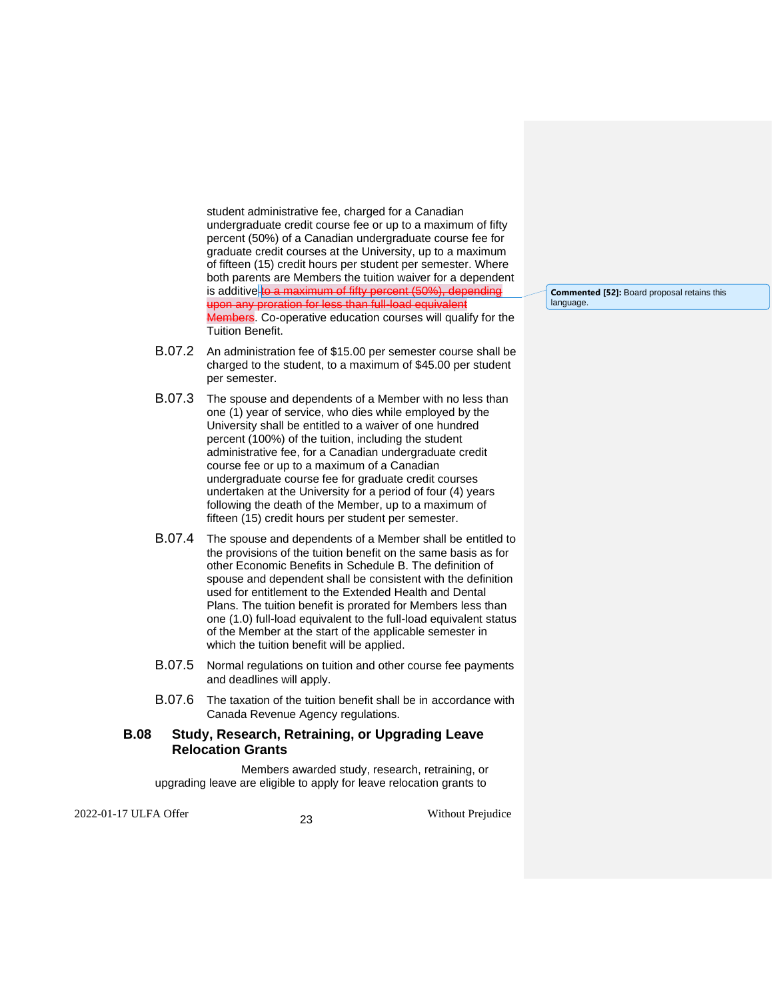student administrative fee, charged for a Canadian undergraduate credit course fee or up to a maximum of fifty percent (50%) of a Canadian undergraduate course fee for graduate credit courses at the University, up to a maximum of fifteen (15) credit hours per student per semester. Where both parents are Members the tuition waiver for a dependent is additive to a maximum of fifty percent (50%), depending upon any proration for less than full-load equivalent Members. Co-operative education courses will qualify for the Tuition Benefit.

- B.07.2 An administration fee of \$15.00 per semester course shall be charged to the student, to a maximum of \$45.00 per student per semester.
- B.07.3 The spouse and dependents of a Member with no less than one (1) year of service, who dies while employed by the University shall be entitled to a waiver of one hundred percent (100%) of the tuition, including the student administrative fee, for a Canadian undergraduate credit course fee or up to a maximum of a Canadian undergraduate course fee for graduate credit courses undertaken at the University for a period of four (4) years following the death of the Member, up to a maximum of fifteen (15) credit hours per student per semester.
- B.07.4 The spouse and dependents of a Member shall be entitled to the provisions of the tuition benefit on the same basis as for other Economic Benefits in [Schedule](#page-17-1) B. The definition of spouse and dependent shall be consistent with the definition used for entitlement to the Extended Health and Dental Plans. The tuition benefit is prorated for Members less than one (1.0) full-load equivalent to the full-load equivalent status of the Member at the start of the applicable semester in which the tuition benefit will be applied.
- B.07.5 Normal regulations on tuition and other course fee payments and deadlines will apply.
- B.07.6 The taxation of the tuition benefit shall be in accordance with Canada Revenue Agency regulations.

## **B.08 Study, Research, Retraining, or Upgrading Leave Relocation Grants**

Members awarded study, research, retraining, or upgrading leave are eligible to apply for leave relocation grants to

2022-01-17 ULFA Offer <sup>23</sup> Without Prejudice

**Commented [52]:** Board proposal retains this language.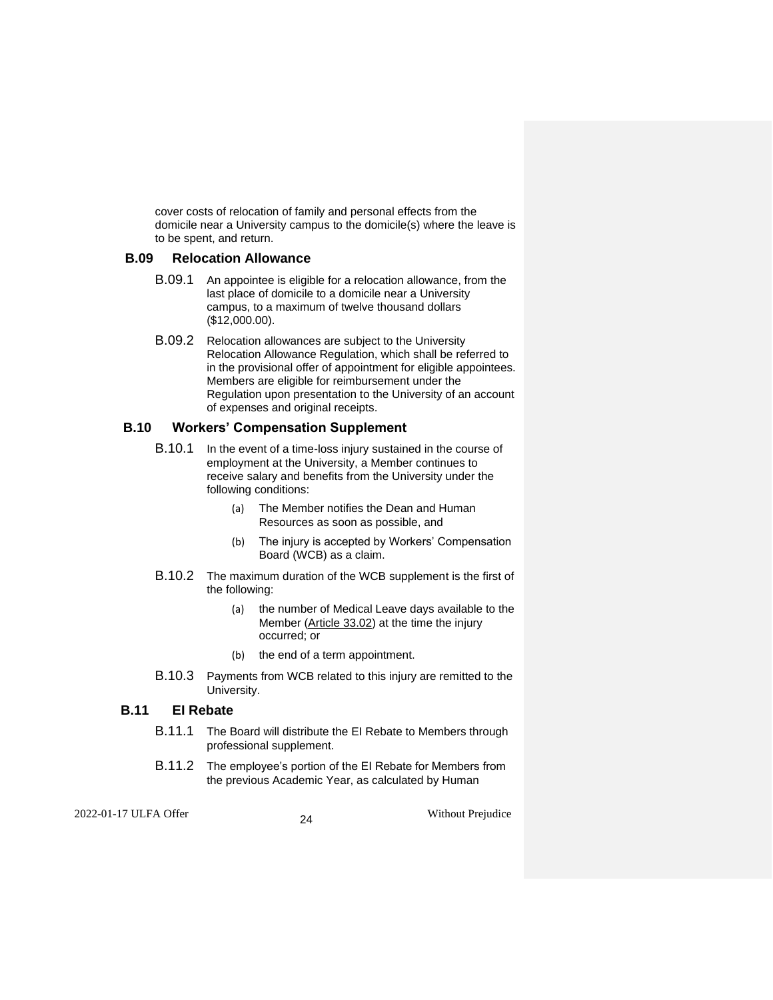cover costs of relocation of family and personal effects from the domicile near a University campus to the domicile(s) where the leave is to be spent, and return.

## **B.09 Relocation Allowance**

- B.09.1 An appointee is eligible for a relocation allowance, from the last place of domicile to a domicile near a University campus, to a maximum of twelve thousand dollars (\$12,000.00).
- B.09.2 Relocation allowances are subject to the University Relocation Allowance Regulation, which shall be referred to in the provisional offer of appointment for eligible appointees. Members are eligible for reimbursement under the Regulation upon presentation to the University of an account of expenses and original receipts.

## **B.10 Workers' Compensation Supplement**

- B.10.1 In the event of a time-loss injury sustained in the course of employment at the University, a Member continues to receive salary and benefits from the University under the following conditions:
	- (a) The Member notifies the Dean and Human Resources as soon as possible, and
	- (b) The injury is accepted by Workers' Compensation Board (WCB) as a claim.
- B.10.2 The maximum duration of the WCB supplement is the first of the following:
	- (a) the number of Medical Leave days available to the Member [\(Article](https://docs.google.com/document/d/1_AhJgJWM7COTuVavIFSeH7QwK7V29q-9Ctq38D3LyNY/edit#heading=h.1lu2dc9) 33.02) at the time the injury occurred; or
	- (b) the end of a term appointment.
- B.10.3 Payments from WCB related to this injury are remitted to the University.

## **B.11 EI Rebate**

- B.11.1 The Board will distribute the EI Rebate to Members through professional supplement.
- B.11.2 The employee's portion of the EI Rebate for Members from the previous Academic Year, as calculated by Human

2022-01-17 ULFA Offer <sup>24</sup> Without Prejudice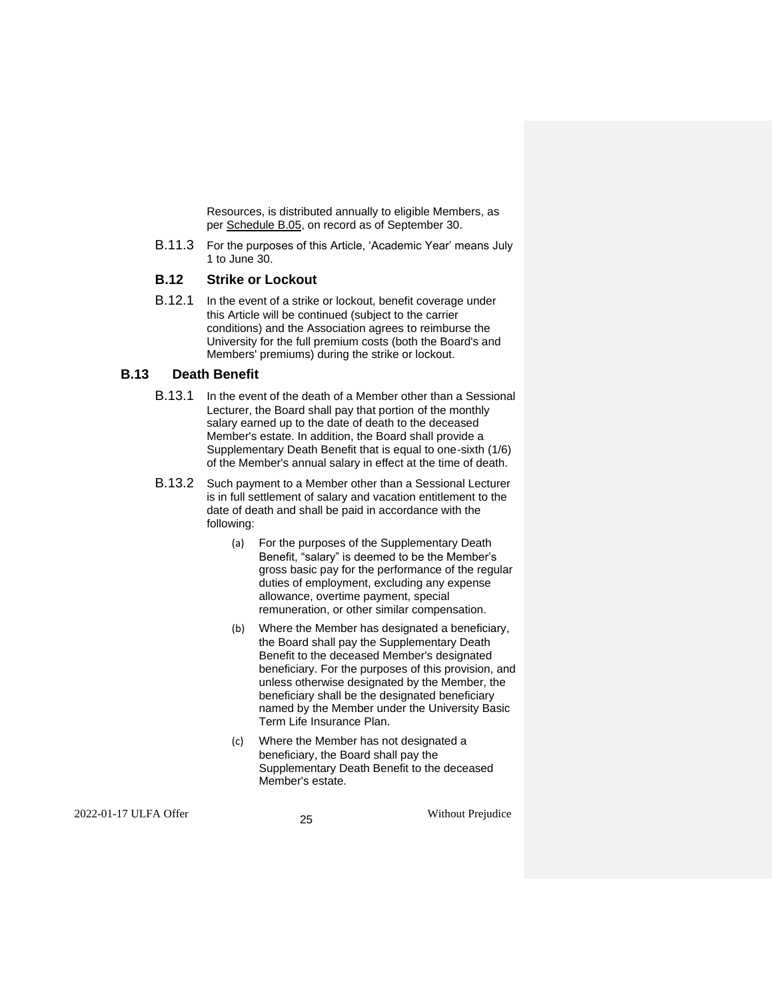Resources, is distributed annually to eligible Members, as per [Schedule](#page-20-0) B.05, on record as of September 30.

B.11.3 For the purposes of this Article, 'Academic Year' means July 1 to June 30.

## **B.12 Strike or Lockout**

B.12.1 In the event of a strike or lockout, benefit coverage under this Article will be continued (subject to the carrier conditions) and the Association agrees to reimburse the University for the full premium costs (both the Board's and Members' premiums) during the strike or lockout.

## **B.13 Death Benefit**

- B.13.1 In the event of the death of a Member other than a Sessional Lecturer, the Board shall pay that portion of the monthly salary earned up to the date of death to the deceased Member's estate. In addition, the Board shall provide a Supplementary Death Benefit that is equal to one-sixth (1/6) of the Member's annual salary in effect at the time of death.
- B.13.2 Such payment to a Member other than a Sessional Lecturer is in full settlement of salary and vacation entitlement to the date of death and shall be paid in accordance with the following:
	- (a) For the purposes of the Supplementary Death Benefit, "salary" is deemed to be the Member's gross basic pay for the performance of the regular duties of employment, excluding any expense allowance, overtime payment, special remuneration, or other similar compensation.
	- (b) Where the Member has designated a beneficiary, the Board shall pay the Supplementary Death Benefit to the deceased Member's designated beneficiary. For the purposes of this provision, and unless otherwise designated by the Member, the beneficiary shall be the designated beneficiary named by the Member under the University Basic Term Life Insurance Plan.
	- (c) Where the Member has not designated a beneficiary, the Board shall pay the Supplementary Death Benefit to the deceased Member's estate.

2022-01-17 ULFA Offer <sup>25</sup> Without Prejudice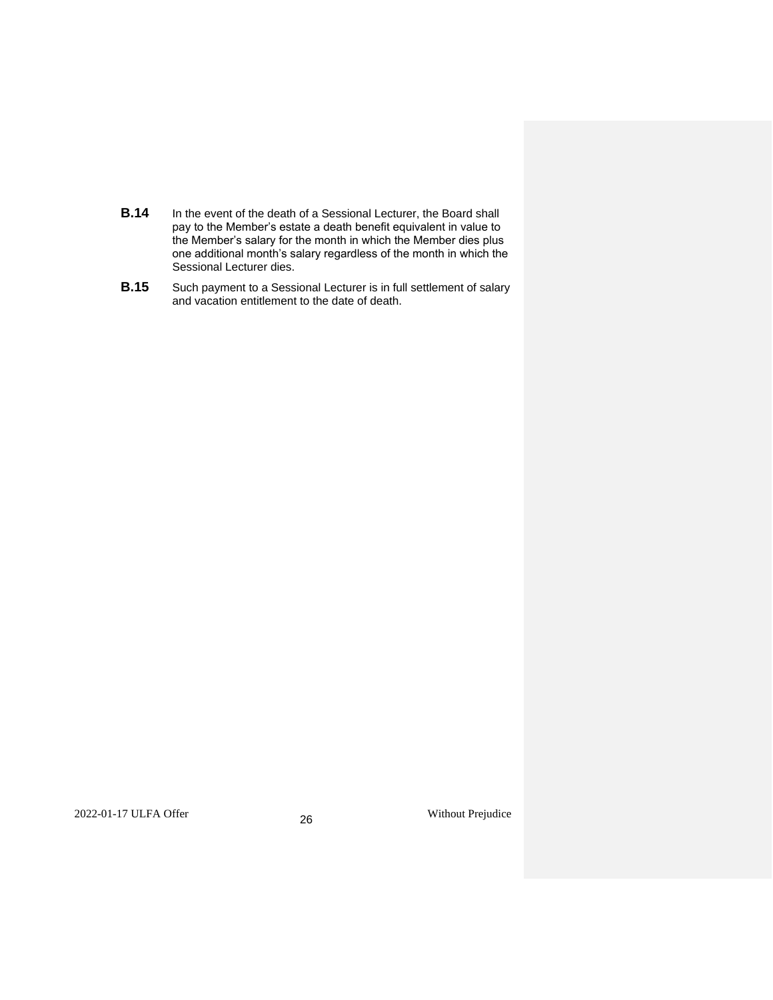- <span id="page-25-0"></span>**B.14** In the event of the death of a Sessional Lecturer, the Board shall pay to the Member's estate a death benefit equivalent in value to the Member's salary for the month in which the Member dies plus one additional month's salary regardless of the month in which the Sessional Lecturer dies.
- <span id="page-25-1"></span>**B.15** Such payment to a Sessional Lecturer is in full settlement of salary and vacation entitlement to the date of death.

2022-01-17 ULFA Offer <sup>26</sup> Without Prejudice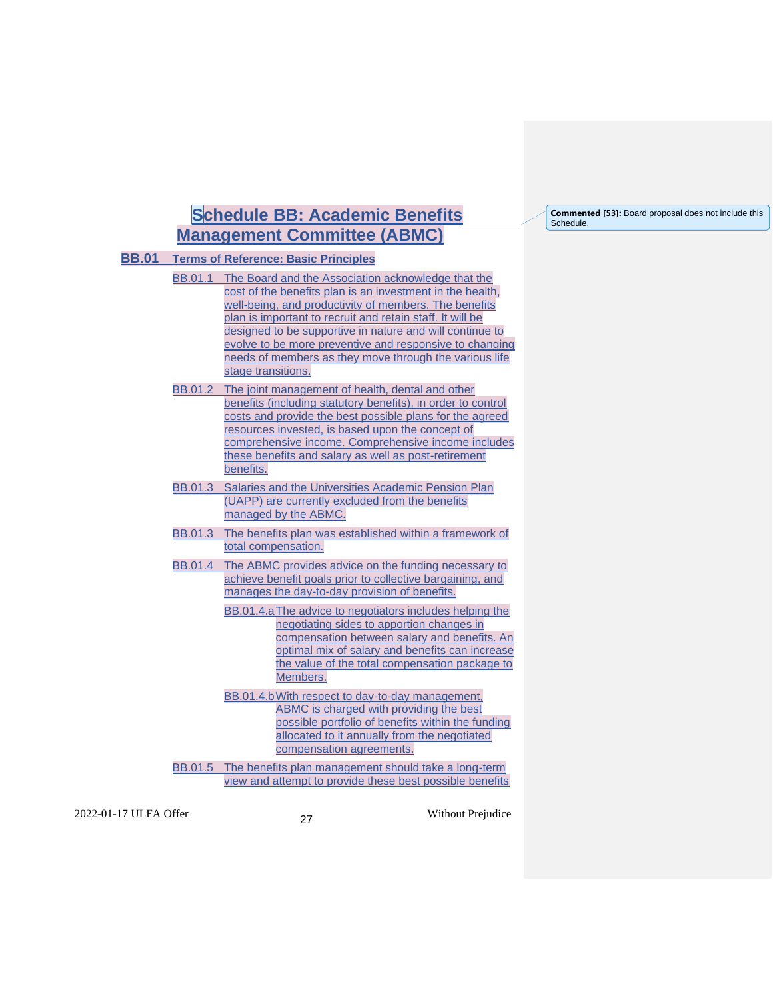# **Schedule BB: Academic Benefits Management Committee (ABMC)**

## **BB.01 Terms of Reference: Basic Principles**

- BB.01.1 The Board and the Association acknowledge that the cost of the benefits plan is an investment in the health, well-being, and productivity of members. The benefits plan is important to recruit and retain staff. It will be designed to be supportive in nature and will continue to evolve to be more preventive and responsive to changing needs of members as they move through the various life stage transitions.
- BB.01.2 The joint management of health, dental and other benefits (including statutory benefits), in order to control costs and provide the best possible plans for the agreed resources invested, is based upon the concept of comprehensive income. Comprehensive income includes these benefits and salary as well as post-retirement benefits.
- BB.01.3 Salaries and the Universities Academic Pension Plan (UAPP) are currently excluded from the benefits managed by the ABMC.
- BB.01.3 The benefits plan was established within a framework of total compensation.
- BB.01.4 The ABMC provides advice on the funding necessary to achieve benefit goals prior to collective bargaining, and manages the day-to-day provision of benefits.
	- BB.01.4.aThe advice to negotiators includes helping the negotiating sides to apportion changes in compensation between salary and benefits. An optimal mix of salary and benefits can increase the value of the total compensation package to Members.
	- BB.01.4.bWith respect to day-to-day management, ABMC is charged with providing the best possible portfolio of benefits within the funding allocated to it annually from the negotiated compensation agreements.

BB.01.5 The benefits plan management should take a long-term view and attempt to provide these best possible benefits

2022-01-17 ULFA Offer <sup>27</sup> Without Prejudice

**Commented [53]:** Board proposal does not include this Schedule.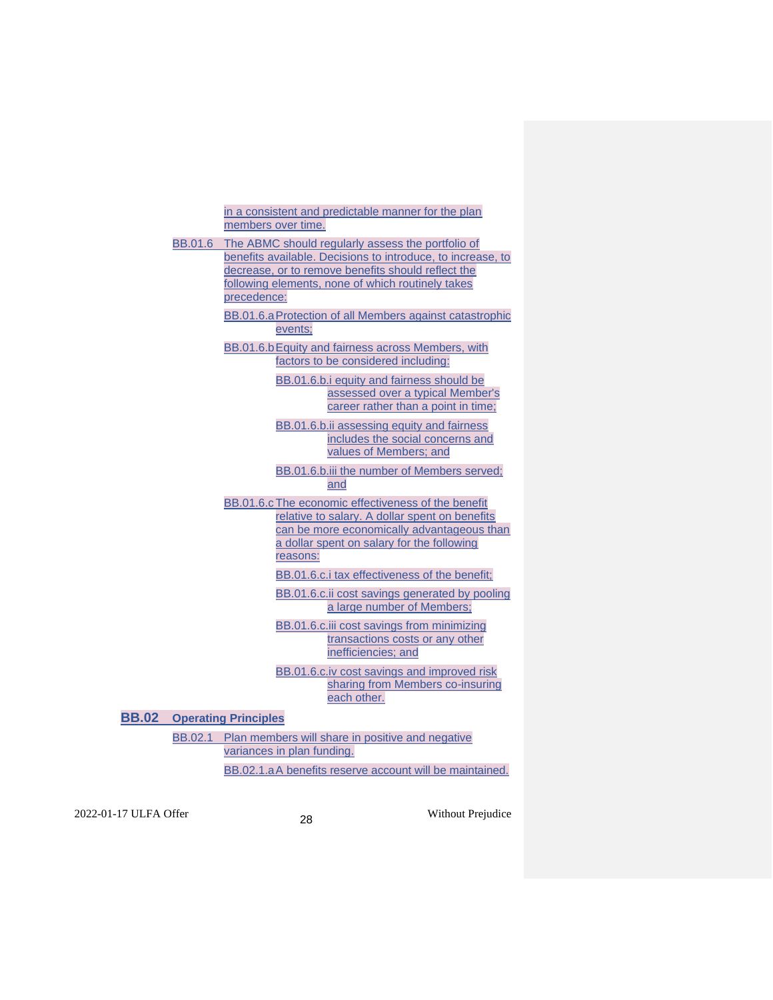in a consistent and predictable manner for the plan members over time.

BB.01.6 The ABMC should regularly assess the portfolio of benefits available. Decisions to introduce, to increase, to decrease, or to remove benefits should reflect the following elements, none of which routinely takes precedence: BB.01.6.aProtection of all Members against catastrophic events; BB.01.6.bEquity and fairness across Members, with factors to be considered including: BB.01.6.b.i equity and fairness should be assessed over a typical Member's career rather than a point in time; BB.01.6.b.ii assessing equity and fairness includes the social concerns and values of Members; and BB.01.6.b.iii the number of Members served; and BB.01.6.c The economic effectiveness of the benefit relative to salary. A dollar spent on benefits can be more economically advantageous than a dollar spent on salary for the following reasons: BB.01.6.c.i tax effectiveness of the benefit; BB.01.6.c.ii cost savings generated by pooling a large number of Members; BB.01.6.c.iii cost savings from minimizing transactions costs or any other inefficiencies; and BB.01.6.c.iv cost savings and improved risk sharing from Members co-insuring each other.

**BB.02 Operating Principles**

BB.02.1 Plan members will share in positive and negative variances in plan funding. BB.02.1.aA benefits reserve account will be maintained.

2022-01-17 ULFA Offer <sup>28</sup> Without Prejudice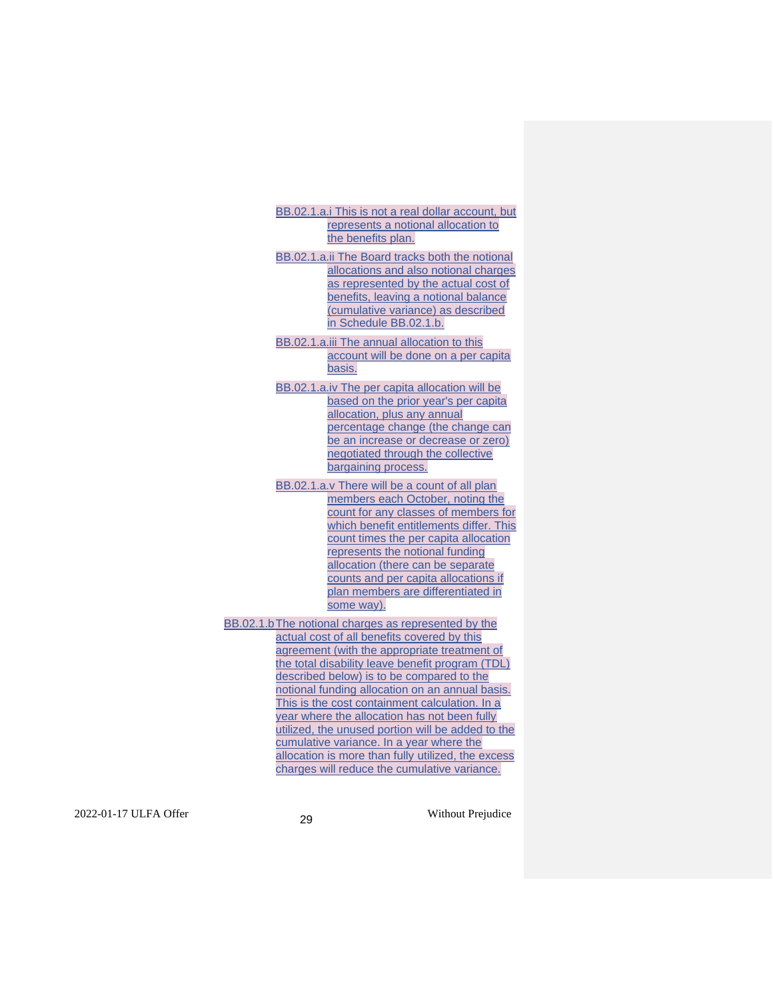BB.02.1.a.i This is not a real dollar account, but represents a notional allocation to the benefits plan.

- BB.02.1.a.ii The Board tracks both the notional allocations and also notional charges as represented by the actual cost of benefits, leaving a notional balance (cumulative variance) as described in Schedule BB.02.1.b.
- BB.02.1.a.iii The annual allocation to this account will be done on a per capita basis.
- BB.02.1.a.iv The per capita allocation will be based on the prior year's per capita allocation, plus any annual percentage change (the change can be an increase or decrease or zero) negotiated through the collective bargaining process.
- BB.02.1.a.v There will be a count of all plan members each October, noting the count for any classes of members for which benefit entitlements differ. This count times the per capita allocation represents the notional funding allocation (there can be separate counts and per capita allocations if plan members are differentiated in some way).
- BB.02.1.bThe notional charges as represented by the actual cost of all benefits covered by this agreement (with the appropriate treatment of the total disability leave benefit program (TDL) described below) is to be compared to the notional funding allocation on an annual basis. This is the cost containment calculation. In a year where the allocation has not been fully utilized, the unused portion will be added to the cumulative variance. In a year where the allocation is more than fully utilized, the excess charges will reduce the cumulative variance.

2022-01-17 ULFA Offer <sup>29</sup> Without Prejudice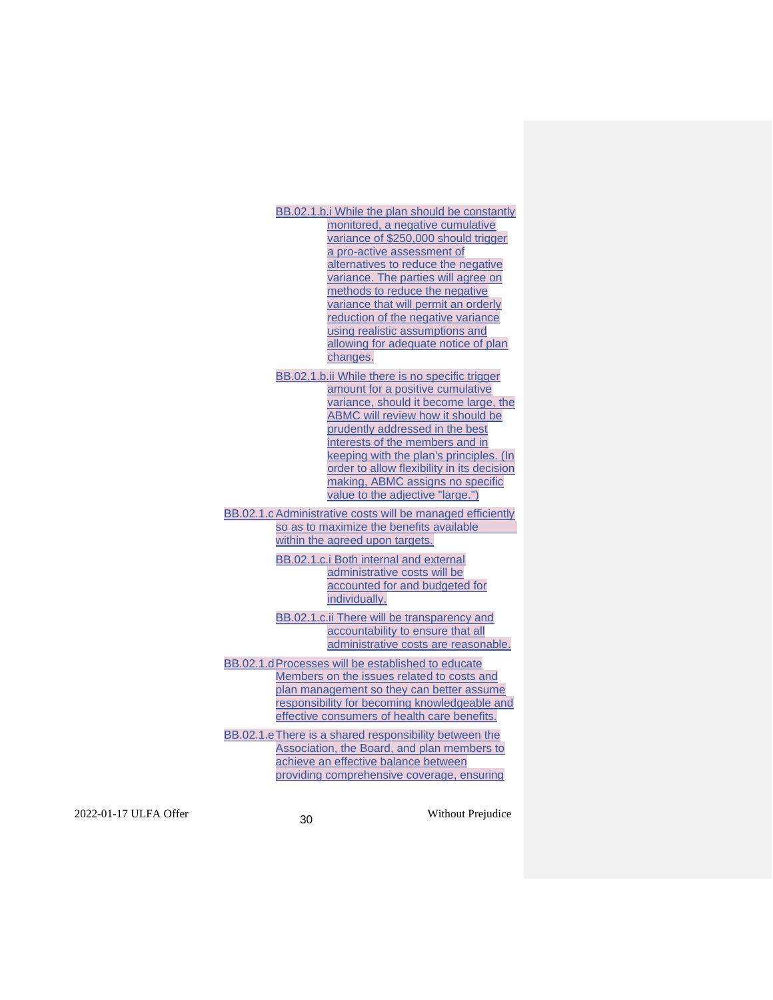BB.02.1.b.i While the plan should be constantly monitored, a negative cumulative variance of \$250,000 should trigger a pro-active assessment of alternatives to reduce the negative variance. The parties will agree on methods to reduce the negative variance that will permit an orderly reduction of the negative variance using realistic assumptions and allowing for adequate notice of plan changes.

BB.02.1.b.ii While there is no specific trigger amount for a positive cumulative variance, should it become large, the ABMC will review how it should be prudently addressed in the best interests of the members and in keeping with the plan's principles. (In order to allow flexibility in its decision making, ABMC assigns no specific value to the adjective "large.")

BB.02.1.c Administrative costs will be managed efficiently so as to maximize the benefits available within the agreed upon targets.

> BB.02.1.c.i Both internal and external administrative costs will be accounted for and budgeted for individually.

BB.02.1.c.ii There will be transparency and accountability to ensure that all administrative costs are reasonable.

BB.02.1.dProcesses will be established to educate Members on the issues related to costs and plan management so they can better assume responsibility for becoming knowledgeable and effective consumers of health care benefits.

BB.02.1.eThere is a shared responsibility between the Association, the Board, and plan members to achieve an effective balance between providing comprehensive coverage, ensuring

2022-01-17 ULFA Offer 30 30 Without Prejudice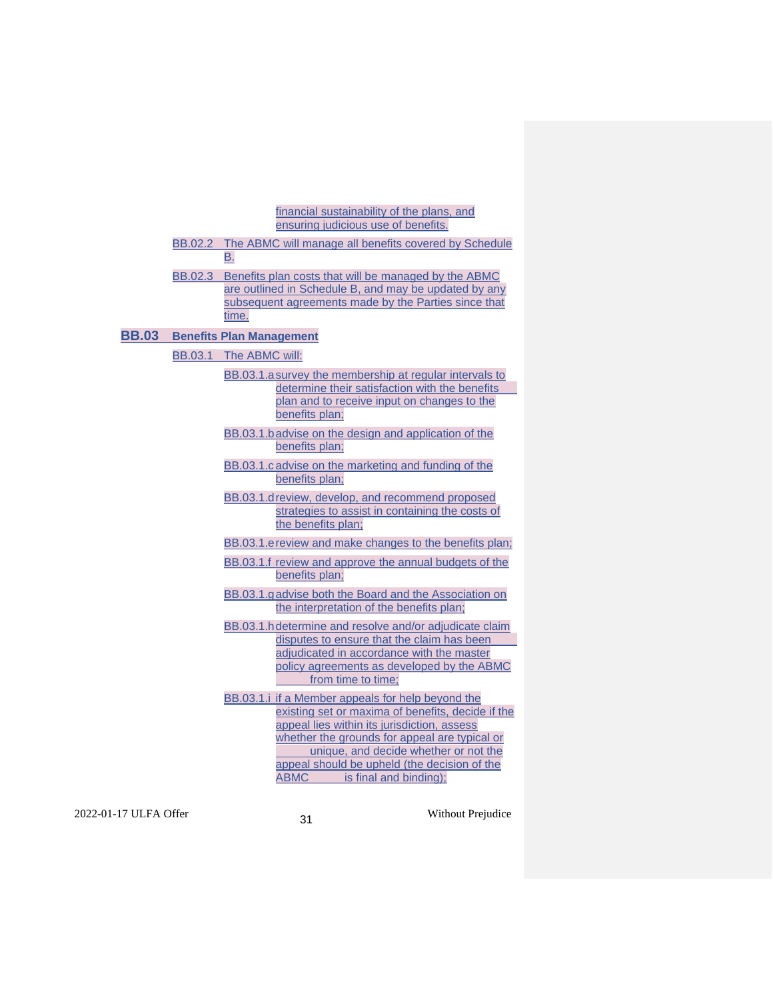financial sustainability of the plans, and ensuring judicious use of benefits.

|              |                | crisuling judicious use of beliefits.                                                                                                                                                                                                                                                                                         |
|--------------|----------------|-------------------------------------------------------------------------------------------------------------------------------------------------------------------------------------------------------------------------------------------------------------------------------------------------------------------------------|
|              |                | BB.02.2 The ABMC will manage all benefits covered by Schedule<br>В.                                                                                                                                                                                                                                                           |
|              |                | BB.02.3 Benefits plan costs that will be managed by the ABMC<br>are outlined in Schedule B, and may be updated by any<br>subsequent agreements made by the Parties since that<br>time.                                                                                                                                        |
| <b>BB.03</b> |                | <b>Benefits Plan Management</b>                                                                                                                                                                                                                                                                                               |
|              | <b>BB.03.1</b> | The ABMC will:                                                                                                                                                                                                                                                                                                                |
|              |                | BB.03.1. a survey the membership at regular intervals to<br>determine their satisfaction with the benefits<br>plan and to receive input on changes to the<br>benefits plan;                                                                                                                                                   |
|              |                | BB.03.1.badvise on the design and application of the<br>benefits plan;                                                                                                                                                                                                                                                        |
|              |                | BB.03.1. cadvise on the marketing and funding of the<br>benefits plan;                                                                                                                                                                                                                                                        |
|              |                | BB.03.1.dreview, develop, and recommend proposed<br>strategies to assist in containing the costs of<br>the benefits plan;                                                                                                                                                                                                     |
|              |                | BB.03.1. e review and make changes to the benefits plan;                                                                                                                                                                                                                                                                      |
|              |                | BB.03.1.f review and approve the annual budgets of the<br>benefits plan;                                                                                                                                                                                                                                                      |
|              |                | BB.03.1.g advise both the Board and the Association on<br>the interpretation of the benefits plan:                                                                                                                                                                                                                            |
|              |                | BB.03.1.h determine and resolve and/or adjudicate claim<br>disputes to ensure that the claim has been<br>adjudicated in accordance with the master<br>policy agreements as developed by the ABMC<br>from time to time;                                                                                                        |
|              |                | BB.03.1. if a Member appeals for help beyond the<br>existing set or maxima of benefits, decide if the<br>appeal lies within its jurisdiction, assess<br>whether the grounds for appeal are typical or<br>unique, and decide whether or not the<br>appeal should be upheld (the decision of the<br>ABMC is final and binding); |

2022-01-17 ULFA Offer <sup>31</sup> Without Prejudice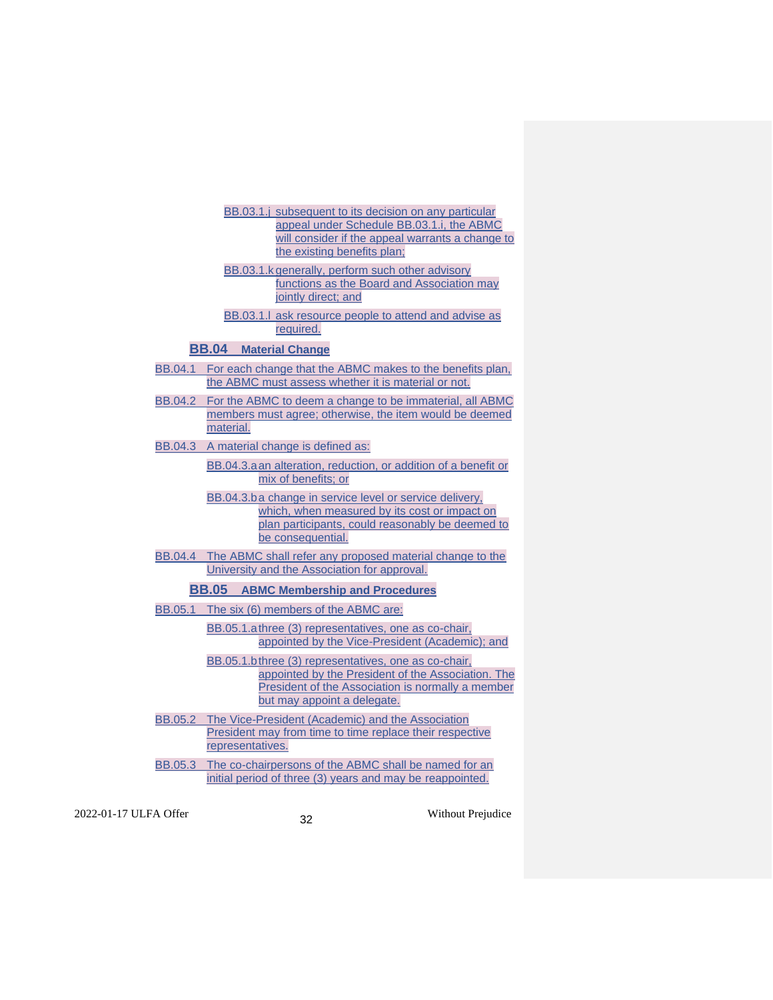| BB.03.1.j subsequent to its decision on any particular<br>appeal under Schedule BB.03.1.i, the ABMC<br>will consider if the appeal warrants a change to<br>the existing benefits plan;<br>BB.03.1.k generally, perform such other advisory<br>functions as the Board and Association may<br>jointly direct; and<br>BB.03.1.I ask resource people to attend and advise as<br>required.<br><b>BB.04</b> Material Change |
|-----------------------------------------------------------------------------------------------------------------------------------------------------------------------------------------------------------------------------------------------------------------------------------------------------------------------------------------------------------------------------------------------------------------------|
|                                                                                                                                                                                                                                                                                                                                                                                                                       |
| BB.04.1 For each change that the ABMC makes to the benefits plan,<br>the ABMC must assess whether it is material or not.                                                                                                                                                                                                                                                                                              |
| BB.04.2 For the ABMC to deem a change to be immaterial, all ABMC<br>members must agree; otherwise, the item would be deemed<br>material.                                                                                                                                                                                                                                                                              |
| BB.04.3 A material change is defined as:                                                                                                                                                                                                                                                                                                                                                                              |
| BB.04.3.a an alteration, reduction, or addition of a benefit or<br>mix of benefits; or                                                                                                                                                                                                                                                                                                                                |
| BB.04.3.b a change in service level or service delivery,<br>which, when measured by its cost or impact on<br>plan participants, could reasonably be deemed to<br>be consequential.                                                                                                                                                                                                                                    |
| BB.04.4 The ABMC shall refer any proposed material change to the<br>University and the Association for approval.                                                                                                                                                                                                                                                                                                      |
| <b>BB.05</b> ABMC Membership and Procedures                                                                                                                                                                                                                                                                                                                                                                           |
| BB.05.1 The six (6) members of the ABMC are:                                                                                                                                                                                                                                                                                                                                                                          |
| BB.05.1.a three (3) representatives, one as co-chair,<br>appointed by the Vice-President (Academic); and                                                                                                                                                                                                                                                                                                              |
| BB.05.1.b three (3) representatives, one as co-chair,<br>appointed by the President of the Association. The<br>President of the Association is normally a member<br>but may appoint a delegate.                                                                                                                                                                                                                       |
| BB.05.2 The Vice-President (Academic) and the Association<br>President may from time to time replace their respective<br>representatives.                                                                                                                                                                                                                                                                             |
| BB.05.3 The co-chairpersons of the ABMC shall be named for an<br>initial period of three (3) years and may be reappointed.                                                                                                                                                                                                                                                                                            |

2022-01-17 ULFA Offer <sup>32</sup> Without Prejudice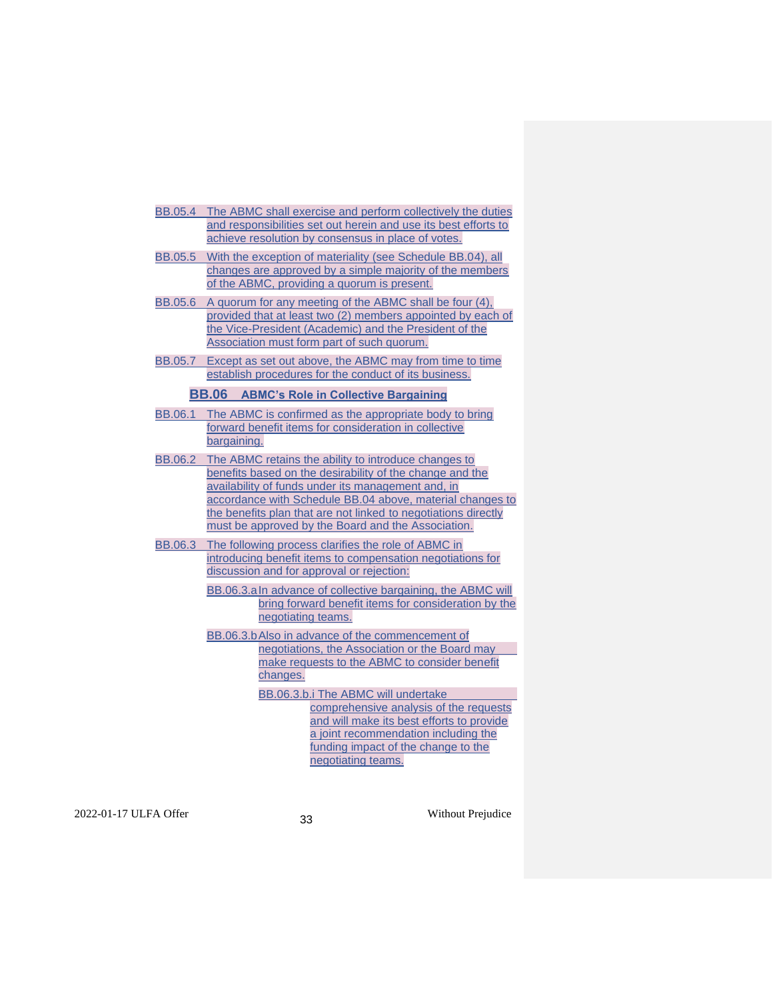|                | BB.05.4 The ABMC shall exercise and perform collectively the duties<br>and responsibilities set out herein and use its best efforts to<br>achieve resolution by consensus in place of votes.                                                                                                                                                                |
|----------------|-------------------------------------------------------------------------------------------------------------------------------------------------------------------------------------------------------------------------------------------------------------------------------------------------------------------------------------------------------------|
| <b>BB.05.5</b> | With the exception of materiality (see Schedule BB.04), all<br>changes are approved by a simple majority of the members<br>of the ABMC, providing a quorum is present.                                                                                                                                                                                      |
| <b>BB.05.6</b> | A quorum for any meeting of the ABMC shall be four (4),<br>provided that at least two (2) members appointed by each of<br>the Vice-President (Academic) and the President of the<br>Association must form part of such quorum.                                                                                                                              |
|                | BB.05.7 Except as set out above, the ABMC may from time to time<br>establish procedures for the conduct of its business.                                                                                                                                                                                                                                    |
|                | <b>BB.06</b> ABMC's Role in Collective Bargaining                                                                                                                                                                                                                                                                                                           |
|                | BB.06.1 The ABMC is confirmed as the appropriate body to bring<br>forward benefit items for consideration in collective<br>bargaining.                                                                                                                                                                                                                      |
| <b>BB.06.2</b> | The ABMC retains the ability to introduce changes to<br>benefits based on the desirability of the change and the<br>availability of funds under its management and, in<br>accordance with Schedule BB.04 above, material changes to<br>the benefits plan that are not linked to negotiations directly<br>must be approved by the Board and the Association. |
| <b>BB.06.3</b> | The following process clarifies the role of ABMC in<br>introducing benefit items to compensation negotiations for<br>discussion and for approval or rejection:                                                                                                                                                                                              |
|                | BB.06.3.a In advance of collective bargaining, the ABMC will<br>bring forward benefit items for consideration by the<br>negotiating teams.                                                                                                                                                                                                                  |
|                | BB.06.3.b Also in advance of the commencement of                                                                                                                                                                                                                                                                                                            |
|                | negotiations, the Association or the Board may<br>make requests to the ABMC to consider benefit<br>changes.                                                                                                                                                                                                                                                 |
|                | BB.06.3.b.i The ABMC will undertake<br>comprehensive analysis of the requests<br>and will make its best efforts to provide<br>a joint recommendation including the<br>funding impact of the change to the                                                                                                                                                   |

2022-01-17 ULFA Offer <sup>33</sup> Without Prejudice

negotiating teams.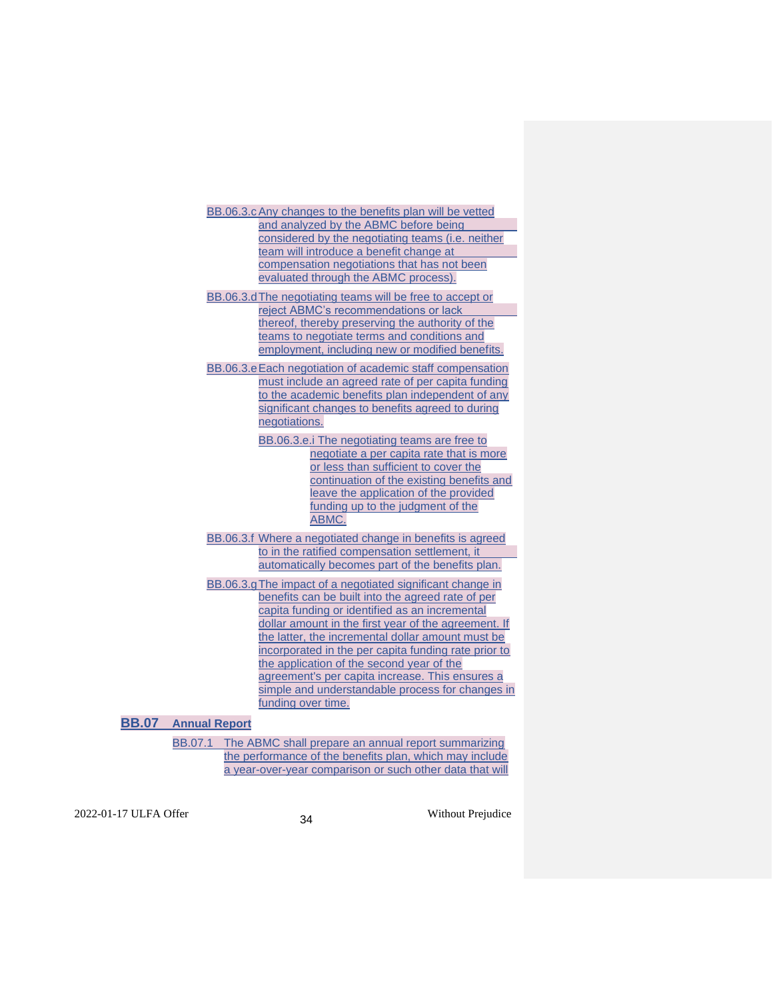- BB.06.3.c Any changes to the benefits plan will be vetted and analyzed by the ABMC before being considered by the negotiating teams (i.e. neither team will introduce a benefit change at compensation negotiations that has not been evaluated through the ABMC process).
- BB.06.3.dThe negotiating teams will be free to accept or reject ABMC's recommendations or lack thereof, thereby preserving the authority of the teams to negotiate terms and conditions and employment, including new or modified benefits.
- BB.06.3.e Each negotiation of academic staff compensation must include an agreed rate of per capita funding to the academic benefits plan independent of any significant changes to benefits agreed to during negotiations.
	- BB.06.3.e.i The negotiating teams are free to negotiate a per capita rate that is more or less than sufficient to cover the continuation of the existing benefits and leave the application of the provided funding up to the judgment of the ABMC.
- BB.06.3.f Where a negotiated change in benefits is agreed to in the ratified compensation settlement, it automatically becomes part of the benefits plan.
- BB.06.3.gThe impact of a negotiated significant change in benefits can be built into the agreed rate of per capita funding or identified as an incremental dollar amount in the first year of the agreement. If the latter, the incremental dollar amount must be incorporated in the per capita funding rate prior to the application of the second year of the agreement's per capita increase. This ensures a simple and understandable process for changes in funding over time.

## **BB.07 Annual Report**

BB.07.1 The ABMC shall prepare an annual report summarizing the performance of the benefits plan, which may include a year-over-year comparison or such other data that will

2022-01-17 ULFA Offer <sup>34</sup> Without Prejudice